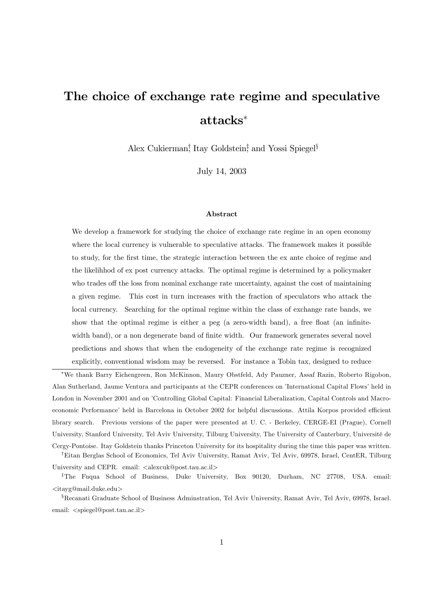# The choice of exchange rate regime and speculative attacks<sup>∗</sup>

Alex Cukierman<sup>†</sup>, Itay Goldstein<sup>‡</sup> and Yossi Spiegel<sup>§</sup>

July 14, 2003

#### Abstract

We develop a framework for studying the choice of exchange rate regime in an open economy where the local currency is vulnerable to speculative attacks. The framework makes it possible to study, for the first time, the strategic interaction between the ex ante choice of regime and the likelihhod of ex post currency attacks. The optimal regime is determined by a policymaker who trades off the loss from nominal exchange rate uncertainty, against the cost of maintaining a given regime. This cost in turn increases with the fraction of speculators who attack the local currency. Searching for the optimal regime within the class of exchange rate bands, we show that the optimal regime is either a peg (a zero-width band), a free float (an infinitewidth band), or a non degenerate band of finite width. Our framework generates several novel predictions and shows that when the endogeneity of the exchange rate regime is recognized explicitly, conventional wisdom may be reversed. For instance a Tobin tax, designed to reduce

<sup>∗</sup>We thank Barry Eichengreen, Ron McKinnon, Maury Obstfeld, Ady Pauzner, Assaf Razin, Roberto Rigobon, Alan Sutherland, Jaume Ventura and participants at the CEPR conferences on 'International Capital Flows' held in London in November 2001 and on 'Controlling Global Capital: Financial Liberalization, Capital Controls and Macroeconomic Performance' held in Barcelona in October 2002 for helpful discussions. Attila Korpos provided efficient library search. Previous versions of the paper were presented at U. C. - Berkeley, CERGE-EI (Prague), Cornell University, Stanford University, Tel Aviv University, Tilburg University, The University of Canterbury, Université de Cergy-Pontoise. Itay Goldstein thanks Princeton University for its hospitality during the time this paper was written.

†Eitan Berglas School of Economics, Tel Aviv University, Ramat Aviv, Tel Aviv, 69978, Israel, CentER, Tilburg University and CEPR. email: <alexcuk@post.tau.ac.il>

<sup>‡</sup>The Fuqua School of Business, Duke University, Box 90120, Durham, NC 27708, USA. email: <itayg@mail.duke.edu>

<sup>§</sup>Recanati Graduate School of Business Adminstration, Tel Aviv University, Ramat Aviv, Tel Aviv, 69978, Israel. email: <spiegel@post.tau.ac.il>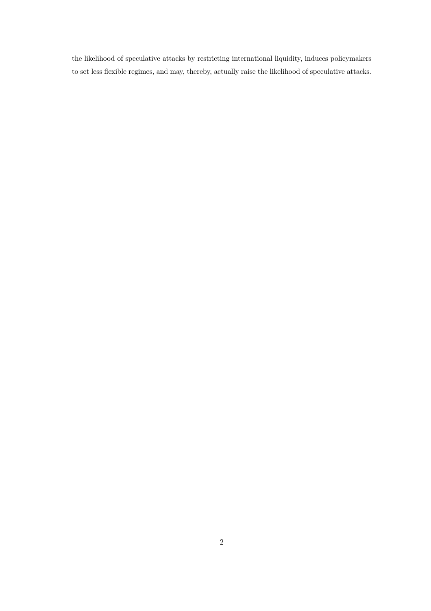the likelihood of speculative attacks by restricting international liquidity, induces policymakers to set less flexible regimes, and may, thereby, actually raise the likelihood of speculative attacks.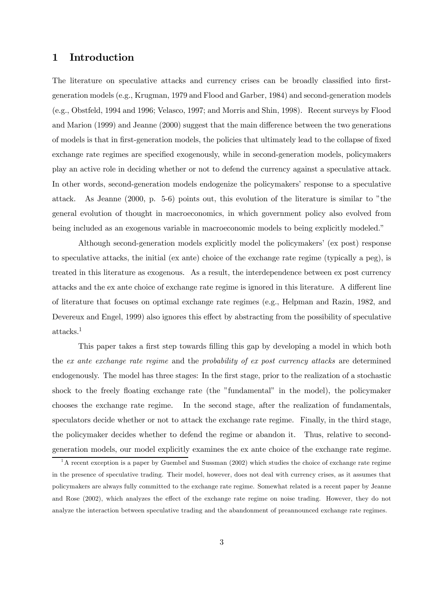## 1 Introduction

The literature on speculative attacks and currency crises can be broadly classified into firstgeneration models (e.g., Krugman, 1979 and Flood and Garber, 1984) and second-generation models (e.g., Obstfeld, 1994 and 1996; Velasco, 1997; and Morris and Shin, 1998). Recent surveys by Flood and Marion (1999) and Jeanne (2000) suggest that the main difference between the two generations of models is that in first-generation models, the policies that ultimately lead to the collapse of fixed exchange rate regimes are specified exogenously, while in second-generation models, policymakers play an active role in deciding whether or not to defend the currency against a speculative attack. In other words, second-generation models endogenize the policymakers' response to a speculative attack. As Jeanne (2000, p. 5-6) points out, this evolution of the literature is similar to "the general evolution of thought in macroeconomics, in which government policy also evolved from being included as an exogenous variable in macroeconomic models to being explicitly modeled."

Although second-generation models explicitly model the policymakers' (ex post) response to speculative attacks, the initial (ex ante) choice of the exchange rate regime (typically a peg), is treated in this literature as exogenous. As a result, the interdependence between ex post currency attacks and the ex ante choice of exchange rate regime is ignored in this literature. A different line of literature that focuses on optimal exchange rate regimes (e.g., Helpman and Razin, 1982, and Devereux and Engel, 1999) also ignores this effect by abstracting from the possibility of speculative  $\mathrm{attacks.}^1$ 

This paper takes a first step towards filling this gap by developing a model in which both the ex ante exchange rate regime and the probability of ex post currency attacks are determined endogenously. The model has three stages: In the first stage, prior to the realization of a stochastic shock to the freely floating exchange rate (the "fundamental" in the model), the policymaker chooses the exchange rate regime. In the second stage, after the realization of fundamentals, speculators decide whether or not to attack the exchange rate regime. Finally, in the third stage, the policymaker decides whether to defend the regime or abandon it. Thus, relative to secondgeneration models, our model explicitly examines the ex ante choice of the exchange rate regime.

<sup>&</sup>lt;sup>1</sup>A recent exception is a paper by Guembel and Sussman (2002) which studies the choice of exchange rate regime in the presence of speculative trading. Their model, however, does not deal with currency crises, as it assumes that policymakers are always fully committed to the exchange rate regime. Somewhat related is a recent paper by Jeanne and Rose (2002), which analyzes the effect of the exchange rate regime on noise trading. However, they do not analyze the interaction between speculative trading and the abandonment of preannounced exchange rate regimes.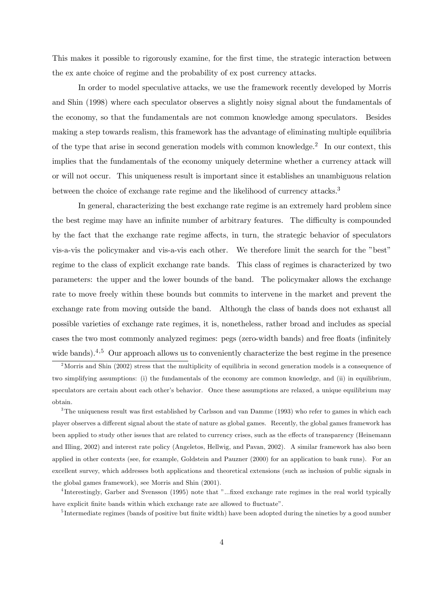This makes it possible to rigorously examine, for the first time, the strategic interaction between the ex ante choice of regime and the probability of ex post currency attacks.

In order to model speculative attacks, we use the framework recently developed by Morris and Shin (1998) where each speculator observes a slightly noisy signal about the fundamentals of the economy, so that the fundamentals are not common knowledge among speculators. Besides making a step towards realism, this framework has the advantage of eliminating multiple equilibria of the type that arise in second generation models with common knowledge.<sup>2</sup> In our context, this implies that the fundamentals of the economy uniquely determine whether a currency attack will or will not occur. This uniqueness result is important since it establishes an unambiguous relation between the choice of exchange rate regime and the likelihood of currency attacks.<sup>3</sup>

In general, characterizing the best exchange rate regime is an extremely hard problem since the best regime may have an infinite number of arbitrary features. The difficulty is compounded by the fact that the exchange rate regime affects, in turn, the strategic behavior of speculators vis-a-vis the policymaker and vis-a-vis each other. We therefore limit the search for the "best" regime to the class of explicit exchange rate bands. This class of regimes is characterized by two parameters: the upper and the lower bounds of the band. The policymaker allows the exchange rate to move freely within these bounds but commits to intervene in the market and prevent the exchange rate from moving outside the band. Although the class of bands does not exhaust all possible varieties of exchange rate regimes, it is, nonetheless, rather broad and includes as special cases the two most commonly analyzed regimes: pegs (zero-width bands) and free floats (infinitely wide bands).<sup>4,5</sup> Our approach allows us to conveniently characterize the best regime in the presence

<sup>3</sup>The uniqueness result was first established by Carlsson and van Damme (1993) who refer to games in which each player observes a different signal about the state of nature as global games. Recently, the global games framework has been applied to study other issues that are related to currency crises, such as the effects of transparency (Heinemann and Illing, 2002) and interest rate policy (Angeletos, Hellwig, and Pavan, 2002). A similar framework has also been applied in other contexts (see, for example, Goldstein and Pauzner (2000) for an application to bank runs). For an excellent survey, which addresses both applications and theoretical extensions (such as inclusion of public signals in the global games framework), see Morris and Shin (2001).

<sup>&</sup>lt;sup>2</sup>Morris and Shin (2002) stress that the multiplicity of equilibria in second generation models is a consequence of two simplifying assumptions: (i) the fundamentals of the economy are common knowledge, and (ii) in equilibrium, speculators are certain about each other's behavior. Once these assumptions are relaxed, a unique equilibrium may obtain.

<sup>4</sup> Interestingly, Garber and Svensson (1995) note that "...fixed exchange rate regimes in the real world typically have explicit finite bands within which exchange rate are allowed to fluctuate".

<sup>&</sup>lt;sup>5</sup>Intermediate regimes (bands of positive but finite width) have been adopted during the nineties by a good number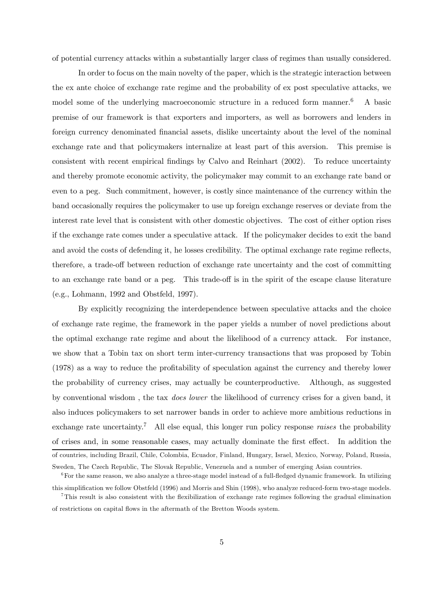of potential currency attacks within a substantially larger class of regimes than usually considered.

In order to focus on the main novelty of the paper, which is the strategic interaction between the ex ante choice of exchange rate regime and the probability of ex post speculative attacks, we model some of the underlying macroeconomic structure in a reduced form manner.<sup>6</sup> A basic premise of our framework is that exporters and importers, as well as borrowers and lenders in foreign currency denominated financial assets, dislike uncertainty about the level of the nominal exchange rate and that policymakers internalize at least part of this aversion. This premise is consistent with recent empirical findings by Calvo and Reinhart (2002). To reduce uncertainty and thereby promote economic activity, the policymaker may commit to an exchange rate band or even to a peg. Such commitment, however, is costly since maintenance of the currency within the band occasionally requires the policymaker to use up foreign exchange reserves or deviate from the interest rate level that is consistent with other domestic objectives. The cost of either option rises if the exchange rate comes under a speculative attack. If the policymaker decides to exit the band and avoid the costs of defending it, he losses credibility. The optimal exchange rate regime reflects, therefore, a trade-off between reduction of exchange rate uncertainty and the cost of committing to an exchange rate band or a peg. This trade-off is in the spirit of the escape clause literature (e.g., Lohmann, 1992 and Obstfeld, 1997).

By explicitly recognizing the interdependence between speculative attacks and the choice of exchange rate regime, the framework in the paper yields a number of novel predictions about the optimal exchange rate regime and about the likelihood of a currency attack. For instance, we show that a Tobin tax on short term inter-currency transactions that was proposed by Tobin (1978) as a way to reduce the profitability of speculation against the currency and thereby lower the probability of currency crises, may actually be counterproductive. Although, as suggested by conventional wisdom , the tax does lower the likelihood of currency crises for a given band, it also induces policymakers to set narrower bands in order to achieve more ambitious reductions in exchange rate uncertainty.<sup>7</sup> All else equal, this longer run policy response *raises* the probability of crises and, in some reasonable cases, may actually dominate the first effect. In addition the of countries, including Brazil, Chile, Colombia, Ecuador, Finland, Hungary, Israel, Mexico, Norway, Poland, Russia, Sweden, The Czech Republic, The Slovak Republic, Venezuela and a number of emerging Asian countries.

 ${}^{6}$  For the same reason, we also analyze a three-stage model instead of a full-fledged dynamic framework. In utilizing this simplification we follow Obstfeld (1996) and Morris and Shin (1998), who analyze reduced-form two-stage models.

<sup>7</sup>This result is also consistent with the flexibilization of exchange rate regimes following the gradual elimination of restrictions on capital flows in the aftermath of the Bretton Woods system.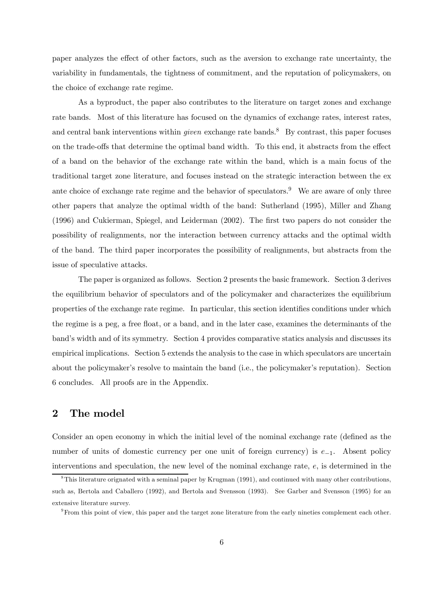paper analyzes the effect of other factors, such as the aversion to exchange rate uncertainty, the variability in fundamentals, the tightness of commitment, and the reputation of policymakers, on the choice of exchange rate regime.

As a byproduct, the paper also contributes to the literature on target zones and exchange rate bands. Most of this literature has focused on the dynamics of exchange rates, interest rates, and central bank interventions within *given* exchange rate bands.<sup>8</sup> By contrast, this paper focuses on the trade-offs that determine the optimal band width. To this end, it abstracts from the effect of a band on the behavior of the exchange rate within the band, which is a main focus of the traditional target zone literature, and focuses instead on the strategic interaction between the ex ante choice of exchange rate regime and the behavior of speculators.<sup>9</sup> We are aware of only three other papers that analyze the optimal width of the band: Sutherland (1995), Miller and Zhang (1996) and Cukierman, Spiegel, and Leiderman (2002). The first two papers do not consider the possibility of realignments, nor the interaction between currency attacks and the optimal width of the band. The third paper incorporates the possibility of realignments, but abstracts from the issue of speculative attacks.

The paper is organized as follows. Section 2 presents the basic framework. Section 3 derives the equilibrium behavior of speculators and of the policymaker and characterizes the equilibrium properties of the exchange rate regime. In particular, this section identifies conditions under which the regime is a peg, a free float, or a band, and in the later case, examines the determinants of the band's width and of its symmetry. Section 4 provides comparative statics analysis and discusses its empirical implications. Section 5 extends the analysis to the case in which speculators are uncertain about the policymaker's resolve to maintain the band (i.e., the policymaker's reputation). Section 6 concludes. All proofs are in the Appendix.

# 2 The model

Consider an open economy in which the initial level of the nominal exchange rate (defined as the number of units of domestic currency per one unit of foreign currency) is e−1. Absent policy interventions and speculation, the new level of the nominal exchange rate, e, is determined in the

<sup>8</sup>This literature orignated with a seminal paper by Krugman (1991), and continued with many other contributions, such as, Bertola and Caballero (1992), and Bertola and Svensson (1993). See Garber and Svensson (1995) for an extensive literature survey.

<sup>9</sup>From this point of view, this paper and the target zone literature from the early nineties complement each other.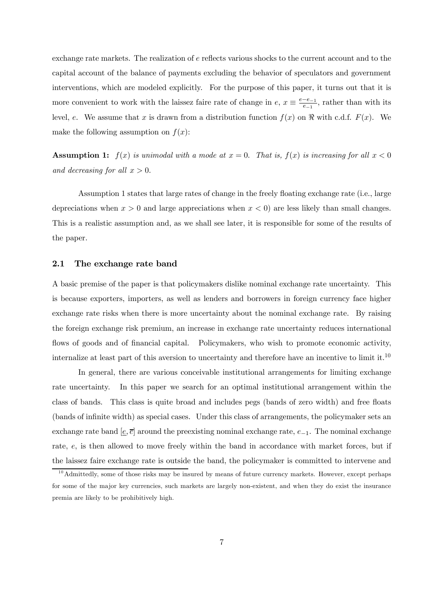exchange rate markets. The realization of e reflects various shocks to the current account and to the capital account of the balance of payments excluding the behavior of speculators and government interventions, which are modeled explicitly. For the purpose of this paper, it turns out that it is more convenient to work with the laissez faire rate of change in  $e, x \equiv \frac{e-e_{-1}}{e_{-1}}$ , rather than with its level, e. We assume that x is drawn from a distribution function  $f(x)$  on  $\Re$  with c.d.f.  $F(x)$ . We make the following assumption on  $f(x)$ :

**Assumption 1:**  $f(x)$  is unimodal with a mode at  $x = 0$ . That is,  $f(x)$  is increasing for all  $x < 0$ and decreasing for all  $x > 0$ .

Assumption 1 states that large rates of change in the freely floating exchange rate (i.e., large depreciations when  $x > 0$  and large appreciations when  $x < 0$  are less likely than small changes. This is a realistic assumption and, as we shall see later, it is responsible for some of the results of the paper.

#### 2.1 The exchange rate band

A basic premise of the paper is that policymakers dislike nominal exchange rate uncertainty. This is because exporters, importers, as well as lenders and borrowers in foreign currency face higher exchange rate risks when there is more uncertainty about the nominal exchange rate. By raising the foreign exchange risk premium, an increase in exchange rate uncertainty reduces international flows of goods and of financial capital. Policymakers, who wish to promote economic activity, internalize at least part of this aversion to uncertainty and therefore have an incentive to limit it.10

In general, there are various conceivable institutional arrangements for limiting exchange rate uncertainty. In this paper we search for an optimal institutional arrangement within the class of bands. This class is quite broad and includes pegs (bands of zero width) and free floats (bands of infinite width) as special cases. Under this class of arrangements, the policymaker sets an exchange rate band  $[\underline{e}, \overline{e}]$  around the preexisting nominal exchange rate,  $e_{-1}$ . The nominal exchange rate, e, is then allowed to move freely within the band in accordance with market forces, but if the laissez faire exchange rate is outside the band, the policymaker is committed to intervene and

 $10$ Admittedly, some of those risks may be insured by means of future currency markets. However, except perhaps for some of the major key currencies, such markets are largely non-existent, and when they do exist the insurance premia are likely to be prohibitively high.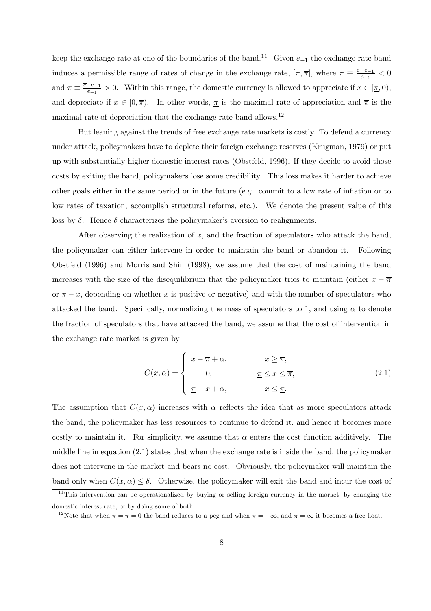keep the exchange rate at one of the boundaries of the band.<sup>11</sup> Given  $e_{-1}$  the exchange rate band induces a permissible range of rates of change in the exchange rate,  $[\underline{\pi}, \overline{\pi}]$ , where  $\underline{\pi} \equiv \frac{e-e_{-1}}{e_{-1}} < 0$ and  $\overline{\pi} \equiv \frac{\overline{e} - e_{-1}}{e_{-1}} > 0$ . Within this range, the domestic currency is allowed to appreciate if  $x \in [\underline{\pi}, 0)$ , and depreciate if  $x \in [0, \overline{\pi})$ . In other words,  $\overline{\pi}$  is the maximal rate of appreciation and  $\overline{\pi}$  is the maximal rate of depreciation that the exchange rate band allows.12

But leaning against the trends of free exchange rate markets is costly. To defend a currency under attack, policymakers have to deplete their foreign exchange reserves (Krugman, 1979) or put up with substantially higher domestic interest rates (Obstfeld, 1996). If they decide to avoid those costs by exiting the band, policymakers lose some credibility. This loss makes it harder to achieve other goals either in the same period or in the future (e.g., commit to a low rate of inflation or to low rates of taxation, accomplish structural reforms, etc.). We denote the present value of this loss by  $\delta$ . Hence  $\delta$  characterizes the policymaker's aversion to realignments.

After observing the realization of  $x$ , and the fraction of speculators who attack the band, the policymaker can either intervene in order to maintain the band or abandon it. Following Obstfeld (1996) and Morris and Shin (1998), we assume that the cost of maintaining the band increases with the size of the disequilibrium that the policymaker tries to maintain (either  $x - \overline{\pi}$ or  $\pi - x$ , depending on whether x is positive or negative) and with the number of speculators who attacked the band. Specifically, normalizing the mass of speculators to 1, and using  $\alpha$  to denote the fraction of speculators that have attacked the band, we assume that the cost of intervention in the exchange rate market is given by

$$
C(x,\alpha) = \begin{cases} x - \overline{\pi} + \alpha, & x \ge \overline{\pi}, \\ 0, & \underline{\pi} \le x \le \overline{\pi}, \\ \underline{\pi} - x + \alpha, & x \le \underline{\pi}. \end{cases}
$$
(2.1)

The assumption that  $C(x, \alpha)$  increases with  $\alpha$  reflects the idea that as more speculators attack the band, the policymaker has less resources to continue to defend it, and hence it becomes more costly to maintain it. For simplicity, we assume that  $\alpha$  enters the cost function additively. The middle line in equation  $(2.1)$  states that when the exchange rate is inside the band, the policymaker does not intervene in the market and bears no cost. Obviously, the policymaker will maintain the band only when  $C(x, \alpha) \leq \delta$ . Otherwise, the policymaker will exit the band and incur the cost of

 $11$ This intervention can be operationalized by buying or selling foreign currency in the market, by changing the domestic interest rate, or by doing some of both.

<sup>&</sup>lt;sup>12</sup>Note that when  $\pi = \bar{\pi} = 0$  the band reduces to a peg and when  $\pi = -\infty$ , and  $\bar{\pi} = \infty$  it becomes a free float.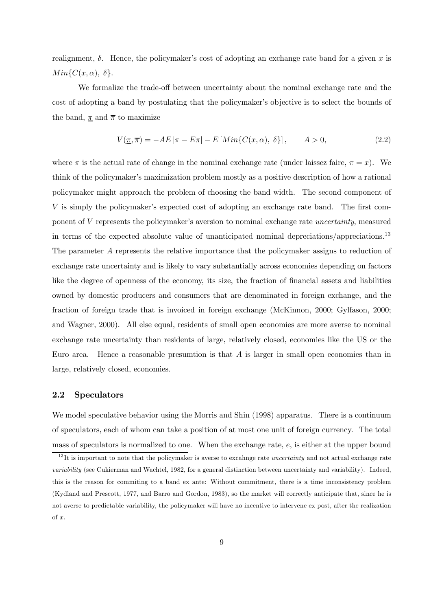realignment,  $\delta$ . Hence, the policymaker's cost of adopting an exchange rate band for a given x is  $Min{C(x, \alpha), \delta}.$ 

We formalize the trade-off between uncertainty about the nominal exchange rate and the cost of adopting a band by postulating that the policymaker's objective is to select the bounds of the band,  $\pi$  and  $\overline{\pi}$  to maximize

$$
V(\underline{\pi}, \overline{\pi}) = -AE \left| \pi - E\pi \right| - E \left[ Min\{C(x, \alpha), \delta\} \right], \qquad A > 0,
$$
\n
$$
(2.2)
$$

where  $\pi$  is the actual rate of change in the nominal exchange rate (under laissez faire,  $\pi = x$ ). We think of the policymaker's maximization problem mostly as a positive description of how a rational policymaker might approach the problem of choosing the band width. The second component of V is simply the policymaker's expected cost of adopting an exchange rate band. The first component of V represents the policymaker's aversion to nominal exchange rate uncertainty, measured in terms of the expected absolute value of unanticipated nominal depreciations/appreciations.<sup>13</sup> The parameter A represents the relative importance that the policymaker assigns to reduction of exchange rate uncertainty and is likely to vary substantially across economies depending on factors like the degree of openness of the economy, its size, the fraction of financial assets and liabilities owned by domestic producers and consumers that are denominated in foreign exchange, and the fraction of foreign trade that is invoiced in foreign exchange (McKinnon, 2000; Gylfason, 2000; and Wagner, 2000). All else equal, residents of small open economies are more averse to nominal exchange rate uncertainty than residents of large, relatively closed, economies like the US or the Euro area. Hence a reasonable presumtion is that  $A$  is larger in small open economies than in large, relatively closed, economies.

#### 2.2 Speculators

We model speculative behavior using the Morris and Shin (1998) apparatus. There is a continuum of speculators, each of whom can take a position of at most one unit of foreign currency. The total mass of speculators is normalized to one. When the exchange rate, e, is either at the upper bound

 $13$ It is important to note that the policymaker is averse to excaling rate uncertainty and not actual exchange rate variability (see Cukierman and Wachtel, 1982, for a general distinction between uncertainty and variability). Indeed, this is the reason for commiting to a band ex ante: Without commitment, there is a time inconsistency problem (Kydland and Prescott, 1977, and Barro and Gordon, 1983), so the market will correctly anticipate that, since he is not averse to predictable variability, the policymaker will have no incentive to intervene ex post, after the realization of x.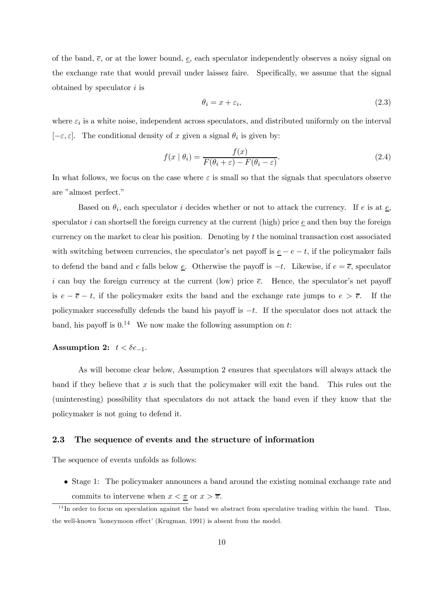of the band,  $\bar{e}$ , or at the lower bound,  $\bar{e}$ , each speculator independently observes a noisy signal on the exchange rate that would prevail under laissez faire. Specifically, we assume that the signal obtained by speculator  $i$  is

$$
\theta_i = x + \varepsilon_i,\tag{2.3}
$$

where  $\varepsilon_i$  is a white noise, independent across speculators, and distributed uniformly on the interval  $[-\varepsilon, \varepsilon]$ . The conditional density of x given a signal  $\theta_i$  is given by:

$$
f(x \mid \theta_i) = \frac{f(x)}{F(\theta_i + \varepsilon) - F(\theta_i - \varepsilon)}.\tag{2.4}
$$

In what follows, we focus on the case where  $\varepsilon$  is small so that the signals that speculators observe are "almost perfect."

Based on  $\theta_i$ , each speculator i decides whether or not to attack the currency. If e is at  $\underline{e}$ , speculator i can shortsell the foreign currency at the current (high) price  $\epsilon$  and then buy the foreign currency on the market to clear his position. Denoting by  $t$  the nominal transaction cost associated with switching between currencies, the speculator's net payoff is  $\underline{e} - e - t$ , if the policymaker fails to defend the band and e falls below  $\underline{e}$ . Otherwise the payoff is  $-t$ . Likewise, if  $e = \overline{e}$ , speculator i can buy the foreign currency at the current (low) price  $\bar{e}$ . Hence, the speculator's net payoff is  $e - \overline{e} - t$ , if the policymaker exits the band and the exchange rate jumps to  $e > \overline{e}$ . If the policymaker successfully defends the band his payoff is  $-t$ . If the speculator does not attack the band, his payoff is  $0<sup>14</sup>$  We now make the following assumption on t:

#### Assumption 2:  $t < \delta e_{-1}$ .

As will become clear below, Assumption 2 ensures that speculators will always attack the band if they believe that  $x$  is such that the policymaker will exit the band. This rules out the (uninteresting) possibility that speculators do not attack the band even if they know that the policymaker is not going to defend it.

#### 2.3 The sequence of events and the structure of information

The sequence of events unfolds as follows:

• Stage 1: The policymaker announces a band around the existing nominal exchange rate and commits to intervene when  $x < \pi$  or  $x > \overline{\pi}$ .

 $14$ In order to focus on speculation against the band we abstract from speculative trading within the band. Thus, the well-known 'honeymoon effect' (Krugman, 1991) is absent from the model.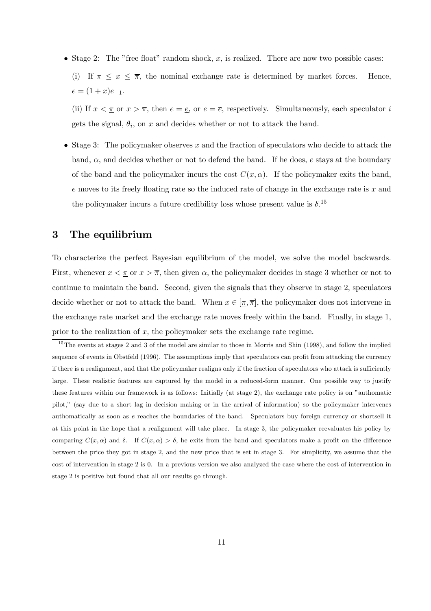• Stage 2: The "free float" random shock,  $x$ , is realized. There are now two possible cases:

(i) If  $\pi \leq x \leq \overline{\pi}$ , the nominal exchange rate is determined by market forces. Hence,  $e = (1+x)e_{-1}.$ 

(ii) If  $x < \pi$  or  $x > \overline{\pi}$ , then  $e = e$ , or  $e = \overline{e}$ , respectively. Simultaneously, each speculator i gets the signal,  $\theta_i$ , on x and decides whether or not to attack the band.

• Stage 3: The policymaker observes x and the fraction of speculators who decide to attack the band,  $\alpha$ , and decides whether or not to defend the band. If he does, e stays at the boundary of the band and the policymaker incurs the cost  $C(x, \alpha)$ . If the policymaker exits the band,  $e$  moves to its freely floating rate so the induced rate of change in the exchange rate is  $x$  and the policymaker incurs a future credibility loss whose present value is  $\delta$ .<sup>15</sup>

## 3 The equilibrium

To characterize the perfect Bayesian equilibrium of the model, we solve the model backwards. First, whenever  $x < \pi$  or  $x > \overline{\pi}$ , then given  $\alpha$ , the policymaker decides in stage 3 whether or not to continue to maintain the band. Second, given the signals that they observe in stage 2, speculators decide whether or not to attack the band. When  $x \in [\pi, \overline{\pi}]$ , the policymaker does not intervene in the exchange rate market and the exchange rate moves freely within the band. Finally, in stage 1, prior to the realization of  $x$ , the policymaker sets the exchange rate regime.

 $15$ The events at stages 2 and 3 of the model are similar to those in Morris and Shin (1998), and follow the implied sequence of events in Obstfeld (1996). The assumptions imply that speculators can profit from attacking the currency if there is a realignment, and that the policymaker realigns only if the fraction of speculators who attack is sufficiently large. These realistic features are captured by the model in a reduced-form manner. One possible way to justify these features within our framework is as follows: Initially (at stage 2), the exchange rate policy is on "authomatic pilot," (say due to a short lag in decision making or in the arrival of information) so the policymaker intervenes authomatically as soon as e reaches the boundaries of the band. Speculators buy foreign currency or shortsell it at this point in the hope that a realignment will take place. In stage 3, the policymaker reevaluates his policy by comparing  $C(x, \alpha)$  and  $\delta$ . If  $C(x, \alpha) > \delta$ , he exits from the band and speculators make a profit on the difference between the price they got in stage 2, and the new price that is set in stage 3. For simplicity, we assume that the cost of intervention in stage 2 is 0. In a previous version we also analyzed the case where the cost of intervention in stage 2 is positive but found that all our results go through.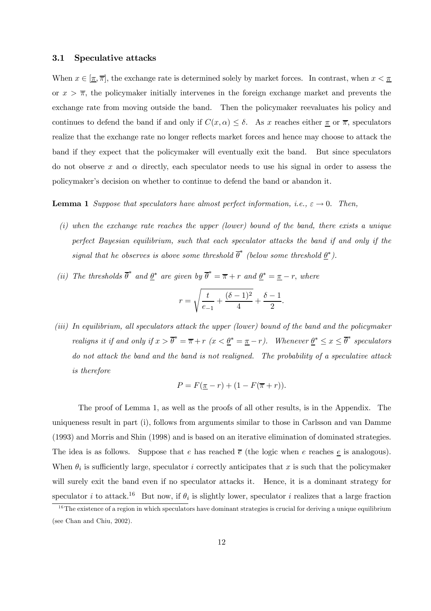#### 3.1 Speculative attacks

When  $x \in [\overline{\pi}, \overline{\pi}]$ , the exchange rate is determined solely by market forces. In contrast, when  $x < \overline{\pi}$ or  $x > \overline{\pi}$ , the policymaker initially intervenes in the foreign exchange market and prevents the exchange rate from moving outside the band. Then the policymaker reevaluates his policy and continues to defend the band if and only if  $C(x, \alpha) \leq \delta$ . As x reaches either  $\pi$  or  $\overline{\pi}$ , speculators realize that the exchange rate no longer reflects market forces and hence may choose to attack the band if they expect that the policymaker will eventually exit the band. But since speculators do not observe x and  $\alpha$  directly, each speculator needs to use his signal in order to assess the policymaker's decision on whether to continue to defend the band or abandon it.

#### **Lemma 1** Suppose that speculators have almost perfect information, i.e.,  $\varepsilon \to 0$ . Then,

- (i) when the exchange rate reaches the upper (lower) bound of the band, there exists a unique perfect Bayesian equilibrium, such that each speculator attacks the band if and only if the signal that he observes is above some threshold  $\overline{\theta}^*$  (below some threshold  $\underline{\theta}^*$ ).
- (ii) The thresholds  $\overline{\theta}^*$  and  $\underline{\theta}^*$  are given by  $\overline{\theta}^* = \overline{\pi} + r$  and  $\underline{\theta}^* = \underline{\pi} r$ , where

$$
r=\sqrt{\frac{t}{e_{-1}}+\frac{(\delta-1)^2}{4}}+\frac{\delta-1}{2}.
$$

(iii) In equilibrium, all speculators attack the upper (lower) bound of the band and the policymaker realigns it if and only if  $x > \overline{\theta}^* = \overline{\pi} + r$   $(x < \underline{\theta}^* = \underline{\pi} - r)$ . Whenever  $\underline{\theta}^* \le x \le \overline{\theta}^*$  speculators do not attack the band and the band is not realigned. The probability of a speculative attack is therefore

$$
P = F(\underline{\pi} - r) + (1 - F(\overline{\pi} + r)).
$$

The proof of Lemma 1, as well as the proofs of all other results, is in the Appendix. The uniqueness result in part (i), follows from arguments similar to those in Carlsson and van Damme (1993) and Morris and Shin (1998) and is based on an iterative elimination of dominated strategies. The idea is as follows. Suppose that e has reached  $\bar{e}$  (the logic when e reaches  $\underline{e}$  is analogous). When  $\theta_i$  is sufficiently large, speculator i correctly anticipates that x is such that the policymaker will surely exit the band even if no speculator attacks it. Hence, it is a dominant strategy for speculator i to attack.<sup>16</sup> But now, if  $\theta_i$  is slightly lower, speculator i realizes that a large fraction

 $16$ The existence of a region in which speculators have dominant strategies is crucial for deriving a unique equilibrium (see Chan and Chiu, 2002).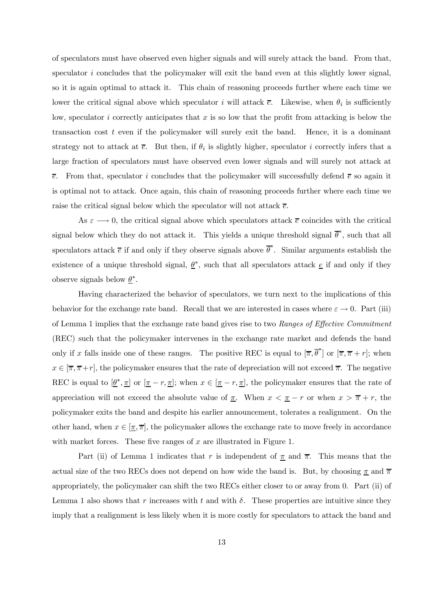of speculators must have observed even higher signals and will surely attack the band. From that, speculator  $i$  concludes that the policymaker will exit the band even at this slightly lower signal, so it is again optimal to attack it. This chain of reasoning proceeds further where each time we lower the critical signal above which speculator i will attack  $\bar{e}$ . Likewise, when  $\theta_i$  is sufficiently low, speculator i correctly anticipates that x is so low that the profit from attacking is below the transaction cost  $t$  even if the policymaker will surely exit the band. Hence, it is a dominant strategy not to attack at  $\overline{e}$ . But then, if  $\theta_i$  is slightly higher, speculator i correctly infers that a large fraction of speculators must have observed even lower signals and will surely not attack at  $\bar{e}$ . From that, speculator i concludes that the policymaker will successfully defend  $\bar{e}$  so again it is optimal not to attack. Once again, this chain of reasoning proceeds further where each time we raise the critical signal below which the speculator will not attack  $\overline{e}$ .

As  $\varepsilon \longrightarrow 0$ , the critical signal above which speculators attack  $\overline{e}$  coincides with the critical signal below which they do not attack it. This yields a unique threshold signal  $\overline{\theta}^*$ , such that all speculators attack  $\bar{e}$  if and only if they observe signals above  $\bar{\theta}^*$ . Similar arguments establish the existence of a unique threshold signal,  $\underline{\theta}^*$ , such that all speculators attack  $\underline{e}$  if and only if they observe signals below  $\underline{\theta}^*$ .

Having characterized the behavior of speculators, we turn next to the implications of this behavior for the exchange rate band. Recall that we are interested in cases where  $\varepsilon \to 0$ . Part (iii) of Lemma 1 implies that the exchange rate band gives rise to two Ranges of Effective Commitment (REC) such that the policymaker intervenes in the exchange rate market and defends the band only if x falls inside one of these ranges. The positive REC is equal to  $[\bar{\pi}, \bar{\theta}^*]$  or  $[\bar{\pi}, \bar{\pi} + r]$ ; when  $x \in [\overline{\pi}, \overline{\pi} + r]$ , the policymaker ensures that the rate of depreciation will not exceed  $\overline{\pi}$ . The negative REC is equal to  $[\underline{\theta}^*, \underline{\pi}]$  or  $[\underline{\pi} - r, \underline{\pi}]$ ; when  $x \in [\underline{\pi} - r, \underline{\pi}]$ , the policymaker ensures that the rate of appreciation will not exceed the absolute value of  $\pi$ . When  $x < \pi - r$  or when  $x > \overline{\pi} + r$ , the policymaker exits the band and despite his earlier announcement, tolerates a realignment. On the other hand, when  $x \in [\overline{\pi}, \overline{\pi}]$ , the policymaker allows the exchange rate to move freely in accordance with market forces. These five ranges of  $x$  are illustrated in Figure 1.

Part (ii) of Lemma 1 indicates that r is independent of  $\pi$  and  $\overline{\pi}$ . This means that the actual size of the two RECs does not depend on how wide the band is. But, by choosing  $\pi$  and  $\bar{\pi}$ appropriately, the policymaker can shift the two RECs either closer to or away from 0. Part (ii) of Lemma 1 also shows that r increases with t and with  $\delta$ . These properties are intuitive since they imply that a realignment is less likely when it is more costly for speculators to attack the band and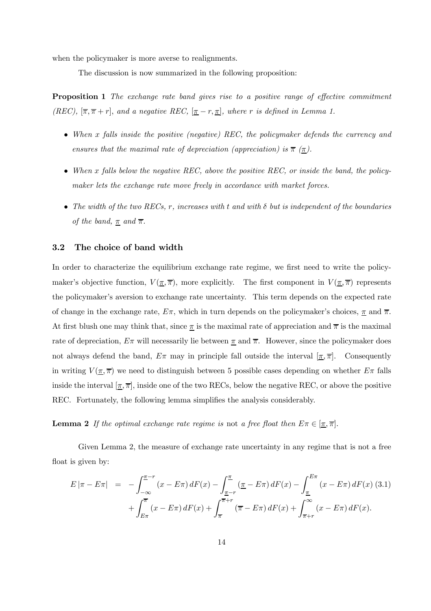when the policymaker is more averse to realignments.

The discussion is now summarized in the following proposition:

**Proposition 1** The exchange rate band gives rise to a positive range of effective commitment (REC),  $[\bar{\pi}, \bar{\pi} + r]$ , and a negative REC,  $[\underline{\pi} - r, \underline{\pi}]$ , where r is defined in Lemma 1.

- When x falls inside the positive (negative) REC, the policymaker defends the currency and ensures that the maximal rate of depreciation (appreciation) is  $\bar{\pi}$  ( $\underline{\pi}$ ).
- When x falls below the negative REC, above the positive REC, or inside the band, the policymaker lets the exchange rate move freely in accordance with market forces.
- The width of the two RECs, r, increases with t and with  $\delta$  but is independent of the boundaries of the band,  $\underline{\pi}$  and  $\overline{\pi}$ .

#### 3.2 The choice of band width

In order to characterize the equilibrium exchange rate regime, we first need to write the policymaker's objective function,  $V(\pi,\overline{\pi})$ , more explicitly. The first component in  $V(\pi,\overline{\pi})$  represents the policymaker's aversion to exchange rate uncertainty. This term depends on the expected rate of change in the exchange rate,  $E\pi$ , which in turn depends on the policymaker's choices,  $\pi$  and  $\bar{\pi}$ . At first blush one may think that, since  $\pi$  is the maximal rate of appreciation and  $\pi$  is the maximal rate of depreciation,  $E\pi$  will necessarily lie between  $\pi$  and  $\overline{\pi}$ . However, since the policymaker does not always defend the band,  $E\pi$  may in principle fall outside the interval  $[\pi, \overline{\pi}]$ . Consequently in writing  $V(\underline{\pi}, \overline{\pi})$  we need to distinguish between 5 possible cases depending on whether  $E\pi$  falls inside the interval  $[\pi, \overline{\pi}]$ , inside one of the two RECs, below the negative REC, or above the positive REC. Fortunately, the following lemma simplifies the analysis considerably.

**Lemma 2** If the optimal exchange rate regime is not a free float then  $E\pi \in [\underline{\pi}, \overline{\pi}]$ .

Given Lemma 2, the measure of exchange rate uncertainty in any regime that is not a free float is given by:

$$
E|\pi - E\pi| = -\int_{-\infty}^{\pi - r} (x - E\pi) dF(x) - \int_{\pi - r}^{\pi} (\pi - E\pi) dF(x) - \int_{\pi}^{E\pi} (x - E\pi) dF(x)
$$
(3.1)  
+ 
$$
\int_{E\pi}^{\pi} (x - E\pi) dF(x) + \int_{\pi}^{\pi + r} (\pi - E\pi) dF(x) + \int_{\pi + r}^{\infty} (x - E\pi) dF(x).
$$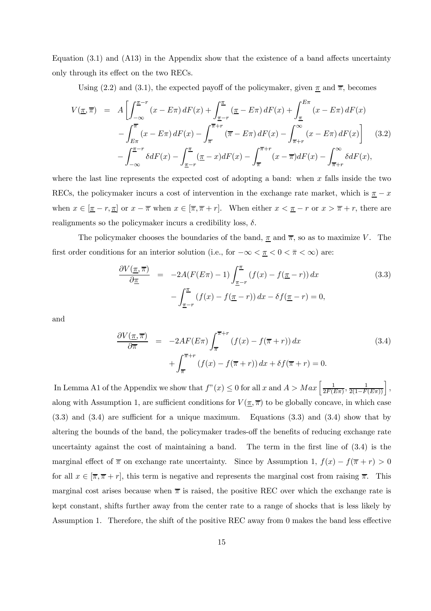Equation (3.1) and (A13) in the Appendix show that the existence of a band affects uncertainty only through its effect on the two RECs.

Using (2.2) and (3.1), the expected payoff of the policymaker, given  $\pi$  and  $\overline{\pi}$ , becomes

$$
V(\underline{\pi}, \overline{\pi}) = A \left[ \int_{-\infty}^{\underline{\pi} - r} (x - E\pi) dF(x) + \int_{\underline{\pi} - r}^{\underline{\pi}} (\underline{\pi} - E\pi) dF(x) + \int_{\underline{\pi}}^{E\pi} (x - E\pi) dF(x) - \int_{\overline{\pi}}^{\overline{\pi}} (x - E\pi) dF(x) - \int_{\overline{\pi}}^{\overline{\pi} + r} (\overline{\pi} - E\pi) dF(x) - \int_{\overline{\pi} + r}^{\infty} (x - E\pi) dF(x) \right]
$$
(3.2)  

$$
- \int_{-\infty}^{\underline{\pi} - r} \delta dF(x) - \int_{\underline{\pi} - r}^{\underline{\pi}} (\underline{\pi} - x) dF(x) - \int_{\overline{\pi}}^{\overline{\pi} + r} (x - \overline{\pi}) dF(x) - \int_{\overline{\pi} + r}^{\infty} \delta dF(x),
$$

where the last line represents the expected cost of adopting a band: when  $x$  falls inside the two RECs, the policymaker incurs a cost of intervention in the exchange rate market, which is  $\pi - x$ when  $x \in [\underline{\pi} - r, \underline{\pi}]$  or  $x - \overline{\pi}$  when  $x \in [\overline{\pi}, \overline{\pi} + r]$ . When either  $x < \underline{\pi} - r$  or  $x > \overline{\pi} + r$ , there are realignments so the policymaker incurs a credibility loss,  $\delta$ .

The policymaker chooses the boundaries of the band,  $\pi$  and  $\overline{\pi}$ , so as to maximize V. The first order conditions for an interior solution (i.e., for  $-\infty < \pi < 0 < \bar{\pi} < \infty$ ) are:

$$
\frac{\partial V(\underline{\pi}, \overline{\pi})}{\partial \underline{\pi}} = -2A(F(E\pi) - 1) \int_{\underline{\pi} - r}^{\underline{\pi}} (f(x) - f(\underline{\pi} - r)) dx
$$
\n
$$
- \int_{\underline{\pi} - r}^{\underline{\pi}} (f(x) - f(\underline{\pi} - r)) dx - \delta f(\underline{\pi} - r) = 0,
$$
\n(3.3)

and

$$
\frac{\partial V(\pi,\overline{\pi})}{\partial \overline{\pi}} = -2AF(E\pi) \int_{\overline{\pi}}^{\overline{\pi}+r} (f(x) - f(\overline{\pi}+r)) dx \n+ \int_{\overline{\pi}}^{\overline{\pi}+r} (f(x) - f(\overline{\pi}+r)) dx + \delta f(\overline{\pi}+r) = 0.
$$
\n(3.4)

In Lemma A1 of the Appendix we show that  $f''(x) \leq 0$  for all  $x$  and  $A > Max\left[\frac{1}{2F(E\pi)}, \frac{1}{2(1-F(E\pi))}\right]$ , along with Assumption 1, are sufficient conditions for  $V(\pi, \overline{\pi})$  to be globally concave, in which case (3.3) and (3.4) are sufficient for a unique maximum. Equations (3.3) and (3.4) show that by altering the bounds of the band, the policymaker trades-off the benefits of reducing exchange rate uncertainty against the cost of maintaining a band. The term in the first line of (3.4) is the marginal effect of  $\bar{\pi}$  on exchange rate uncertainty. Since by Assumption 1,  $f(x) - f(\bar{\pi} + r) > 0$ for all  $x \in [\overline{\pi}, \overline{\pi} + r]$ , this term is negative and represents the marginal cost from raising  $\overline{\pi}$ . This marginal cost arises because when  $\bar{\pi}$  is raised, the positive REC over which the exchange rate is kept constant, shifts further away from the center rate to a range of shocks that is less likely by Assumption 1. Therefore, the shift of the positive REC away from 0 makes the band less effective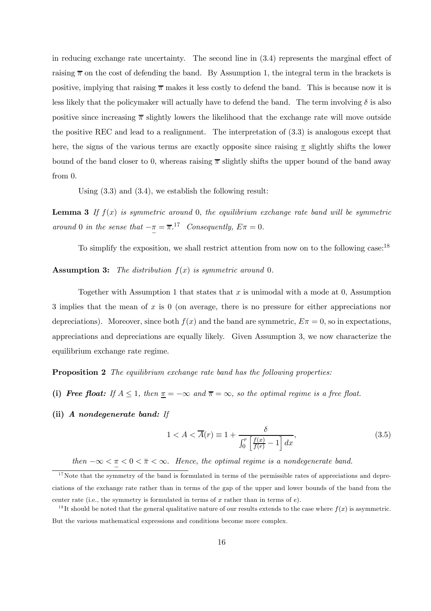in reducing exchange rate uncertainty. The second line in (3.4) represents the marginal effect of raising  $\bar{\pi}$  on the cost of defending the band. By Assumption 1, the integral term in the brackets is positive, implying that raising  $\bar{\pi}$  makes it less costly to defend the band. This is because now it is less likely that the policymaker will actually have to defend the band. The term involving  $\delta$  is also positive since increasing  $\bar{\pi}$  slightly lowers the likelihood that the exchange rate will move outside the positive REC and lead to a realignment. The interpretation of (3.3) is analogous except that here, the signs of the various terms are exactly opposite since raising  $\pi$  slightly shifts the lower bound of the band closer to 0, whereas raising  $\bar{\pi}$  slightly shifts the upper bound of the band away from 0.

Using (3.3) and (3.4), we establish the following result:

**Lemma 3** If  $f(x)$  is symmetric around 0, the equilibrium exchange rate band will be symmetric around 0 in the sense that  $-\pi = \overline{\pi}$ .<sup>17</sup> Consequently,  $E\pi = 0$ .

To simplify the exposition, we shall restrict attention from now on to the following case:<sup>18</sup>

**Assumption 3:** The distribution  $f(x)$  is symmetric around 0.

Together with Assumption 1 that states that  $x$  is unimodal with a mode at 0, Assumption 3 implies that the mean of x is 0 (on average, there is no pressure for either appreciations nor depreciations). Moreover, since both  $f(x)$  and the band are symmetric,  $E\pi = 0$ , so in expectations, appreciations and depreciations are equally likely. Given Assumption 3, we now characterize the equilibrium exchange rate regime.

**Proposition 2** The equilibrium exchange rate band has the following properties:

- (i) Free float: If  $A \leq 1$ , then  $\underline{\pi} = -\infty$  and  $\overline{\pi} = \infty$ , so the optimal regime is a free float.
- (ii) A nondegenerate band: If

$$
1 < A < \overline{A}(r) \equiv 1 + \frac{\delta}{\int_0^r \left[ \frac{f(x)}{f(r)} - 1 \right] dx},\tag{3.5}
$$

then  $-\infty < \pi < 0 < \bar{\pi} < \infty$ . Hence, the optimal regime is a nondegenerate band.

 $17$ Note that the symmetry of the band is formulated in terms of the permissible rates of appreciations and depreciations of the exchange rate rather than in terms of the gap of the upper and lower bounds of the band from the center rate (i.e., the symmetry is formulated in terms of  $x$  rather than in terms of  $e$ ).

<sup>&</sup>lt;sup>18</sup>It should be noted that the general qualitative nature of our results extends to the case where  $f(x)$  is asymmetric. But the various mathematical expressions and conditions become more complex.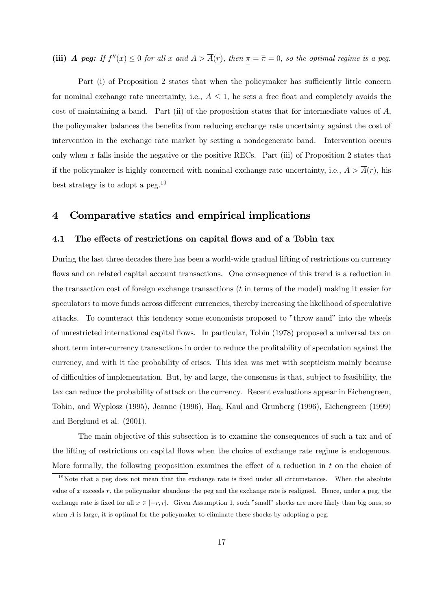(iii) A peg: If  $f''(x) \leq 0$  for all x and  $A > \overline{A}(r)$ , then  $\pi = \overline{\pi} = 0$ , so the optimal regime is a peg.

Part (i) of Proposition 2 states that when the policymaker has sufficiently little concern for nominal exchange rate uncertainty, i.e.,  $A \leq 1$ , he sets a free float and completely avoids the cost of maintaining a band. Part (ii) of the proposition states that for intermediate values of A, the policymaker balances the benefits from reducing exchange rate uncertainty against the cost of intervention in the exchange rate market by setting a nondegenerate band. Intervention occurs only when x falls inside the negative or the positive RECs. Part (iii) of Proposition 2 states that if the policymaker is highly concerned with nominal exchange rate uncertainty, i.e.,  $A > \overline{A}(r)$ , his best strategy is to adopt a peg.19

## 4 Comparative statics and empirical implications

#### 4.1 The effects of restrictions on capital flows and of a Tobin tax

During the last three decades there has been a world-wide gradual lifting of restrictions on currency flows and on related capital account transactions. One consequence of this trend is a reduction in the transaction cost of foreign exchange transactions  $(t$  in terms of the model) making it easier for speculators to move funds across different currencies, thereby increasing the likelihood of speculative attacks. To counteract this tendency some economists proposed to "throw sand" into the wheels of unrestricted international capital flows. In particular, Tobin (1978) proposed a universal tax on short term inter-currency transactions in order to reduce the profitability of speculation against the currency, and with it the probability of crises. This idea was met with scepticism mainly because of difficulties of implementation. But, by and large, the consensus is that, subject to feasibility, the tax can reduce the probability of attack on the currency. Recent evaluations appear in Eichengreen, Tobin, and Wyplosz (1995), Jeanne (1996), Haq, Kaul and Grunberg (1996), Eichengreen (1999) and Berglund et al. (2001).

The main objective of this subsection is to examine the consequences of such a tax and of the lifting of restrictions on capital flows when the choice of exchange rate regime is endogenous. More formally, the following proposition examines the effect of a reduction in t on the choice of

 $19$ Note that a peg does not mean that the exchange rate is fixed under all circumstances. When the absolute value of x exceeds r, the policymaker abandons the peg and the exchange rate is realigned. Hence, under a peg, the exchange rate is fixed for all  $x \in [-r, r]$ . Given Assumption 1, such "small" shocks are more likely than big ones, so when A is large, it is optimal for the policymaker to eliminate these shocks by adopting a peg.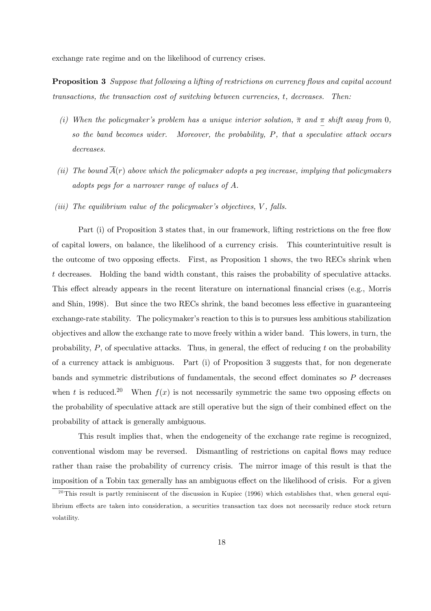exchange rate regime and on the likelihood of currency crises.

**Proposition 3** Suppose that following a lifting of restrictions on currency flows and capital account transactions, the transaction cost of switching between currencies, t, decreases. Then:

- (i) When the policymaker's problem has a unique interior solution,  $\bar{\pi}$  and  $\frac{\pi}{2}$  shift away from 0, so the band becomes wider. Moreover, the probability, P, that a speculative attack occurs decreases.
- (ii) The bound  $\overline{A}(r)$  above which the policymaker adopts a peq increase, implying that policymakers adopts pegs for a narrower range of values of A.
- (iii) The equilibrium value of the policymaker's objectives,  $V$ , falls.

Part (i) of Proposition 3 states that, in our framework, lifting restrictions on the free flow of capital lowers, on balance, the likelihood of a currency crisis. This counterintuitive result is the outcome of two opposing effects. First, as Proposition 1 shows, the two RECs shrink when t decreases. Holding the band width constant, this raises the probability of speculative attacks. This effect already appears in the recent literature on international financial crises (e.g., Morris and Shin, 1998). But since the two RECs shrink, the band becomes less effective in guaranteeing exchange-rate stability. The policymaker's reaction to this is to pursues less ambitious stabilization objectives and allow the exchange rate to move freely within a wider band. This lowers, in turn, the probability,  $P$ , of speculative attacks. Thus, in general, the effect of reducing  $t$  on the probability of a currency attack is ambiguous. Part (i) of Proposition 3 suggests that, for non degenerate bands and symmetric distributions of fundamentals, the second effect dominates so P decreases when t is reduced.<sup>20</sup> When  $f(x)$  is not necessarily symmetric the same two opposing effects on the probability of speculative attack are still operative but the sign of their combined effect on the probability of attack is generally ambiguous.

This result implies that, when the endogeneity of the exchange rate regime is recognized, conventional wisdom may be reversed. Dismantling of restrictions on capital flows may reduce rather than raise the probability of currency crisis. The mirror image of this result is that the imposition of a Tobin tax generally has an ambiguous effect on the likelihood of crisis. For a given

 $^{20}$ This result is partly reminiscent of the discussion in Kupiec (1996) which establishes that, when general equilibrium effects are taken into consideration, a securities transaction tax does not necessarily reduce stock return volatility.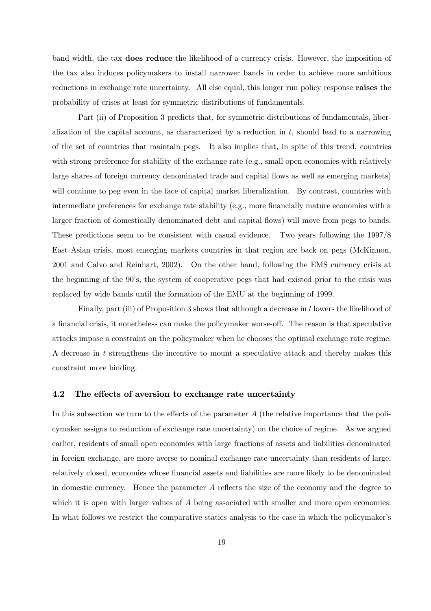band width, the tax does reduce the likelihood of a currency crisis. However, the imposition of the tax also induces policymakers to install narrower bands in order to achieve more ambitious reductions in exchange rate uncertainty. All else equal, this longer run policy response raises the probability of crises at least for symmetric distributions of fundamentals.

Part (ii) of Proposition 3 predicts that, for symmetric distributions of fundamentals, liberalization of the capital account, as characterized by a reduction in  $t$ , should lead to a narrowing of the set of countries that maintain pegs. It also implies that, in spite of this trend, countries with strong preference for stability of the exchange rate (e.g., small open economies with relatively large shares of foreign currency denominated trade and capital flows as well as emerging markets) will continue to peg even in the face of capital market liberalization. By contrast, countries with intermediate preferences for exchange rate stability (e.g., more financially mature economies with a larger fraction of domestically denominated debt and capital flows) will move from pegs to bands. These predictions seem to be consistent with casual evidence. Two years following the 1997/8 East Asian crisis, most emerging markets countries in that region are back on pegs (McKinnon, 2001 and Calvo and Reinhart, 2002). On the other hand, following the EMS currency crisis at the beginning of the 90's, the system of cooperative pegs that had existed prior to the crisis was replaced by wide bands until the formation of the EMU at the beginning of 1999.

Finally, part (iii) of Proposition 3 shows that although a decrease in t lowers the likelihood of a financial crisis, it nonetheless can make the policymaker worse-off. The reason is that speculative attacks impose a constraint on the policymaker when he chooses the optimal exchange rate regime. A decrease in t strengthens the incentive to mount a speculative attack and thereby makes this constraint more binding.

#### 4.2 The effects of aversion to exchange rate uncertainty

In this subsection we turn to the effects of the parameter  $A$  (the relative importance that the policymaker assigns to reduction of exchange rate uncertainty) on the choice of regime. As we argued earlier, residents of small open economies with large fractions of assets and liabilities denominated in foreign exchange, are more averse to nominal exchange rate uncertainty than residents of large, relatively closed, economies whose financial assets and liabilities are more likely to be denominated in domestic currency. Hence the parameter A reflects the size of the economy and the degree to which it is open with larger values of A being associated with smaller and more open economies. In what follows we restrict the comparative statics analysis to the case in which the policymaker's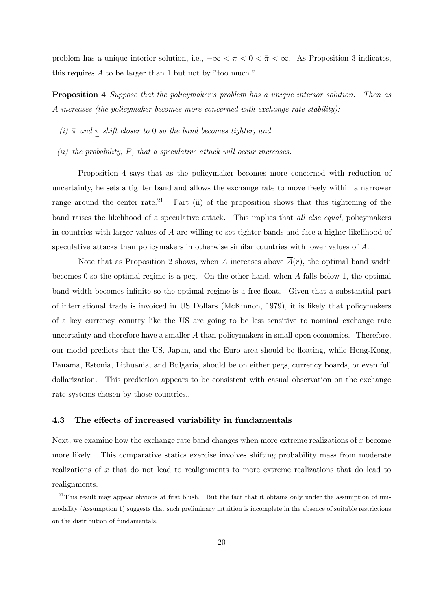problem has a unique interior solution, i.e.,  $-\infty < \pi < 0 < \bar{\pi} < \infty$ . As Proposition 3 indicates, this requires A to be larger than 1 but not by "too much."

Proposition 4 Suppose that the policymaker's problem has a unique interior solution. Then as A increases (the policymaker becomes more concerned with exchange rate stability):

- (i)  $\bar{\pi}$  and  $\underline{\pi}$  shift closer to 0 so the band becomes tighter, and
- (ii) the probability,  $P$ , that a speculative attack will occur increases.

Proposition 4 says that as the policymaker becomes more concerned with reduction of uncertainty, he sets a tighter band and allows the exchange rate to move freely within a narrower range around the center rate.<sup>21</sup> Part (ii) of the proposition shows that this tightening of the band raises the likelihood of a speculative attack. This implies that all else equal, policymakers in countries with larger values of A are willing to set tighter bands and face a higher likelihood of speculative attacks than policymakers in otherwise similar countries with lower values of A.

Note that as Proposition 2 shows, when A increases above  $\overline{A}(r)$ , the optimal band width becomes 0 so the optimal regime is a peg. On the other hand, when A falls below 1, the optimal band width becomes infinite so the optimal regime is a free float. Given that a substantial part of international trade is invoiced in US Dollars (McKinnon, 1979), it is likely that policymakers of a key currency country like the US are going to be less sensitive to nominal exchange rate uncertainty and therefore have a smaller A than policymakers in small open economies. Therefore, our model predicts that the US, Japan, and the Euro area should be floating, while Hong-Kong, Panama, Estonia, Lithuania, and Bulgaria, should be on either pegs, currency boards, or even full dollarization. This prediction appears to be consistent with casual observation on the exchange rate systems chosen by those countries..

#### 4.3 The effects of increased variability in fundamentals

Next, we examine how the exchange rate band changes when more extreme realizations of  $x$  become more likely. This comparative statics exercise involves shifting probability mass from moderate realizations of x that do not lead to realignments to more extreme realizations that do lead to realignments.

 $21$ <sup>21</sup>This result may appear obvious at first blush. But the fact that it obtains only under the assumption of unimodality (Assumption 1) suggests that such preliminary intuition is incomplete in the absence of suitable restrictions on the distribution of fundamentals.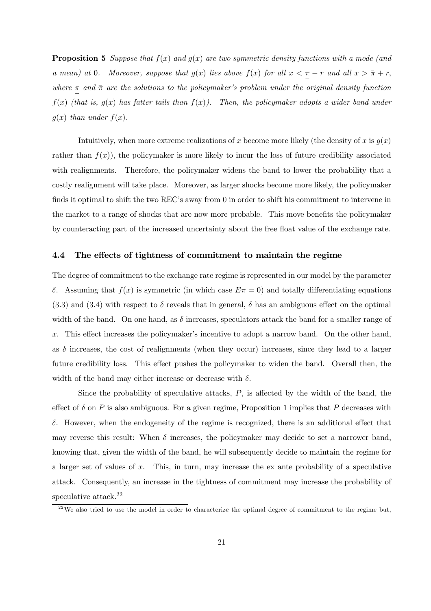**Proposition 5** Suppose that  $f(x)$  and  $g(x)$  are two symmetric density functions with a mode (and a mean) at 0. Moreover, suppose that  $g(x)$  lies above  $f(x)$  for all  $x < \frac{\pi}{a} - r$  and all  $x > \bar{\pi} + r$ , where  $\pi$  and  $\bar{\pi}$  are the solutions to the policymaker's problem under the original density function  $f(x)$  (that is,  $g(x)$  has fatter tails than  $f(x)$ ). Then, the policymaker adopts a wider band under  $g(x)$  than under  $f(x)$ .

Intuitively, when more extreme realizations of x become more likely (the density of x is  $g(x)$ ) rather than  $f(x)$ , the policymaker is more likely to incur the loss of future credibility associated with realignments. Therefore, the policymaker widens the band to lower the probability that a costly realignment will take place. Moreover, as larger shocks become more likely, the policymaker finds it optimal to shift the two REC's away from 0 in order to shift his commitment to intervene in the market to a range of shocks that are now more probable. This move benefits the policymaker by counteracting part of the increased uncertainty about the free float value of the exchange rate.

#### 4.4 The effects of tightness of commitment to maintain the regime

The degree of commitment to the exchange rate regime is represented in our model by the parameter δ. Assuming that  $f(x)$  is symmetric (in which case  $E\pi = 0$ ) and totally differentiating equations  $(3.3)$  and  $(3.4)$  with respect to  $\delta$  reveals that in general,  $\delta$  has an ambiguous effect on the optimal width of the band. On one hand, as  $\delta$  increases, speculators attack the band for a smaller range of x. This effect increases the policymaker's incentive to adopt a narrow band. On the other hand, as  $\delta$  increases, the cost of realignments (when they occur) increases, since they lead to a larger future credibility loss. This effect pushes the policymaker to widen the band. Overall then, the width of the band may either increase or decrease with  $\delta$ .

Since the probability of speculative attacks,  $P$ , is affected by the width of the band, the effect of  $\delta$  on P is also ambiguous. For a given regime, Proposition 1 implies that P decreases with δ. However, when the endogeneity of the regime is recognized, there is an additional effect that may reverse this result: When  $\delta$  increases, the policymaker may decide to set a narrower band, knowing that, given the width of the band, he will subsequently decide to maintain the regime for a larger set of values of x. This, in turn, may increase the ex ante probability of a speculative attack. Consequently, an increase in the tightness of commitment may increase the probability of speculative attack.22

<sup>&</sup>lt;sup>22</sup>We also tried to use the model in order to characterize the optimal degree of commitment to the regime but,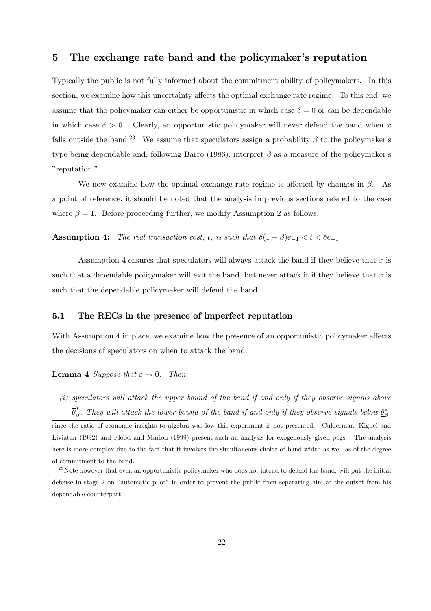## 5 The exchange rate band and the policymaker's reputation

Typically the public is not fully informed about the commitment ability of policymakers. In this section, we examine how this uncertainty affects the optimal exchange rate regime. To this end, we assume that the policymaker can either be opportunistic in which case  $\delta = 0$  or can be dependable in which case  $\delta > 0$ . Clearly, an opportunistic policymaker will never defend the band when x falls outside the band.<sup>23</sup> We assume that speculators assign a probability  $\beta$  to the policymaker's type being dependable and, following Barro (1986), interpret  $\beta$  as a measure of the policymaker's "reputation."

We now examine how the optimal exchange rate regime is affected by changes in  $\beta$ . As a point of reference, it should be noted that the analysis in previous sections refered to the case where  $\beta = 1$ . Before proceeding further, we modify Assumption 2 as follows:

Assumption 4: The real transaction cost, t, is such that  $\delta(1-\beta)e_{-1} < t < \delta e_{-1}$ .

Assumption 4 ensures that speculators will always attack the band if they believe that x is such that a dependable policymaker will exit the band, but never attack it if they believe that x is such that the dependable policymaker will defend the band.

## 5.1 The RECs in the presence of imperfect reputation

With Assumption 4 in place, we examine how the presence of an opportunistic policymaker affects the decisions of speculators on when to attack the band.

**Lemma 4** Suppose that  $\varepsilon \to 0$ . Then,

(i) speculators will attack the upper bound of the band if and only if they observe signals above  $\overline{\theta}^*_\beta$ . They will attack the lower bound of the band if and only if they observe signals below  $\underline{\theta}^*_\beta$ . since the ratio of economic insights to algebra was low this experiment is not presented. Cukierman, Kiguel and Liviatan (1992) and Flood and Marion (1999) present such an analysis for exogenously given pegs. The analysis here is more complex due to the fact that it involves the simultaneous choice of band width as well as of the degree of commitment to the band.

<sup>&</sup>lt;sup>23</sup>Note however that even an opportunistic policymaker who does not intend to defend the band, will put the initial defense in stage 2 on "automatic pilot" in order to prevent the public from separating him at the outset from his dependable counterpart.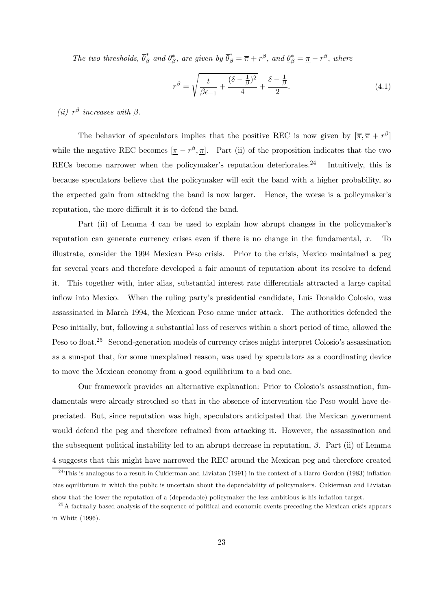The two thresholds,  $\overline{\theta}_{\beta}^*$  and  $\underline{\theta}_{\beta}^*$ , are given by  $\overline{\theta}_{\beta}^* = \overline{\pi} + r^{\beta}$ , and  $\underline{\theta}_{\beta}^* = \underline{\pi} - r^{\beta}$ , where

$$
r^{\beta} = \sqrt{\frac{t}{\beta e_{-1}} + \frac{(\delta - \frac{1}{\beta})^2}{4}} + \frac{\delta - \frac{1}{\beta}}{2}.
$$
\n(4.1)

(ii)  $r^{\beta}$  increases with  $\beta$ .

The behavior of speculators implies that the positive REC is now given by  $[\bar{\pi}, \bar{\pi} + r^{\beta}]$ while the negative REC becomes  $[\underline{\pi} - r^{\beta}, \underline{\pi}]$ . Part (ii) of the proposition indicates that the two RECs become narrower when the policymaker's reputation deteriorates.<sup>24</sup> Intuitively, this is because speculators believe that the policymaker will exit the band with a higher probability, so the expected gain from attacking the band is now larger. Hence, the worse is a policymaker's reputation, the more difficult it is to defend the band.

Part (ii) of Lemma 4 can be used to explain how abrupt changes in the policymaker's reputation can generate currency crises even if there is no change in the fundamental, x. To illustrate, consider the 1994 Mexican Peso crisis. Prior to the crisis, Mexico maintained a peg for several years and therefore developed a fair amount of reputation about its resolve to defend it. This together with, inter alias, substantial interest rate differentials attracted a large capital inflow into Mexico. When the ruling party's presidential candidate, Luis Donaldo Colosio, was assassinated in March 1994, the Mexican Peso came under attack. The authorities defended the Peso initially, but, following a substantial loss of reserves within a short period of time, allowed the Peso to float.<sup>25</sup> Second-generation models of currency crises might interpret Colosio's assassination as a sunspot that, for some unexplained reason, was used by speculators as a coordinating device to move the Mexican economy from a good equilibrium to a bad one.

Our framework provides an alternative explanation: Prior to Colosio's assassination, fundamentals were already stretched so that in the absence of intervention the Peso would have depreciated. But, since reputation was high, speculators anticipated that the Mexican government would defend the peg and therefore refrained from attacking it. However, the assassination and the subsequent political instability led to an abrupt decrease in reputation,  $\beta$ . Part (ii) of Lemma 4 suggests that this might have narrowed the REC around the Mexican peg and therefore created

 $^{24}$ This is analogous to a result in Cukierman and Liviatan (1991) in the context of a Barro-Gordon (1983) inflation bias equilibrium in which the public is uncertain about the dependability of policymakers. Cukierman and Liviatan show that the lower the reputation of a (dependable) policymaker the less ambitious is his inflation target.

 $25$ A factually based analysis of the sequence of political and economic events preceding the Mexican crisis appears

in Whitt (1996).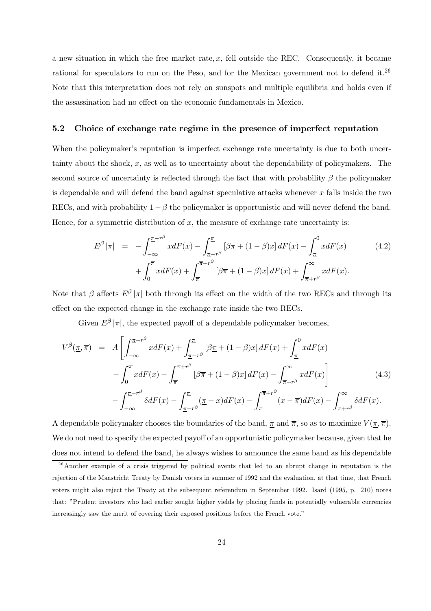a new situation in which the free market rate,  $x$ , fell outside the REC. Consequently, it became rational for speculators to run on the Peso, and for the Mexican government not to defend it.<sup>26</sup> Note that this interpretation does not rely on sunspots and multiple equilibria and holds even if the assassination had no effect on the economic fundamentals in Mexico.

#### 5.2 Choice of exchange rate regime in the presence of imperfect reputation

When the policymaker's reputation is imperfect exchange rate uncertainty is due to both uncertainty about the shock,  $x$ , as well as to uncertainty about the dependability of policymakers. The second source of uncertainty is reflected through the fact that with probability  $\beta$  the policymaker is dependable and will defend the band against speculative attacks whenever x falls inside the two RECs, and with probability  $1 - \beta$  the policymaker is opportunistic and will never defend the band. Hence, for a symmetric distribution of  $x$ , the measure of exchange rate uncertainty is:

$$
E^{\beta}|\pi| = -\int_{-\infty}^{\underline{\pi}-r^{\beta}} x dF(x) - \int_{\underline{\pi}-r^{\beta}}^{\underline{\pi}} [\beta \underline{\pi} + (1-\beta)x] dF(x) - \int_{\underline{\pi}}^{0} x dF(x)
$$
(4.2)  
+ 
$$
\int_{0}^{\overline{\pi}} x dF(x) + \int_{\overline{\pi}}^{\overline{\pi}+r^{\beta}} [\beta \overline{\pi} + (1-\beta)x] dF(x) + \int_{\overline{\pi}+r^{\beta}}^{\infty} x dF(x).
$$

Note that  $\beta$  affects  $E^{\beta}$  |π| both through its effect on the width of the two RECs and through its effect on the expected change in the exchange rate inside the two RECs.

Given  $E^{\beta}|\pi|$ , the expected payoff of a dependable policymaker becomes,

$$
V^{\beta}(\underline{\pi}, \overline{\pi}) = A \left[ \int_{-\infty}^{\underline{\pi} - r^{\beta}} x dF(x) + \int_{\underline{\pi} - r^{\beta}}^{\underline{\pi}} \left[ \beta \underline{\pi} + (1 - \beta) x \right] dF(x) + \int_{\underline{\pi}}^{0} x dF(x) \right]
$$

$$
- \int_{0}^{\overline{\pi}} x dF(x) - \int_{\overline{\pi}}^{\overline{\pi} + r^{\beta}} \left[ \beta \overline{\pi} + (1 - \beta) x \right] dF(x) - \int_{\overline{\pi} + r^{\beta}}^{\infty} x dF(x) \right]
$$

$$
- \int_{-\infty}^{\underline{\pi} - r^{\beta}} \delta dF(x) - \int_{\underline{\pi} - r^{\beta}}^{\underline{\pi}} (\underline{\pi} - x) dF(x) - \int_{\overline{\pi}}^{\overline{\pi} + r^{\beta}} (x - \overline{\pi}) dF(x) - \int_{\overline{\pi} + r^{\beta}}^{\infty} \delta dF(x).
$$
(4.3)

A dependable policymaker chooses the boundaries of the band,  $\pi$  and  $\overline{\pi}$ , so as to maximize  $V(\pi, \overline{\pi})$ . We do not need to specify the expected payoff of an opportunistic policymaker because, given that he does not intend to defend the band, he always wishes to announce the same band as his dependable

<sup>&</sup>lt;sup>26</sup> Another example of a crisis triggered by political events that led to an abrupt change in reputation is the rejection of the Maastricht Treaty by Danish voters in summer of 1992 and the evaluation, at that time, that French voters might also reject the Treaty at the subsequent referendum in September 1992. Isard (1995, p. 210) notes that: "Prudent investors who had earlier sought higher yields by placing funds in potentially vulnerable currencies increasingly saw the merit of covering their exposed positions before the French vote."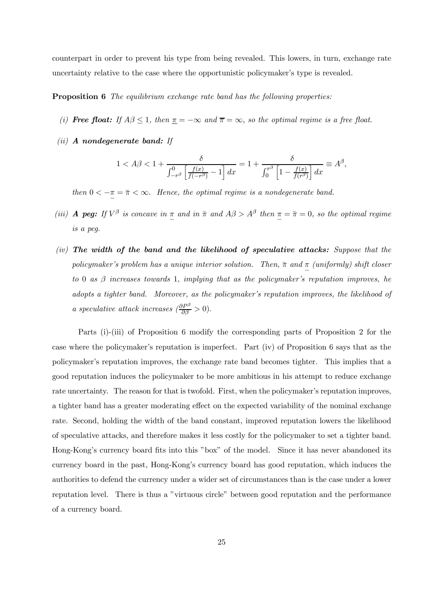counterpart in order to prevent his type from being revealed. This lowers, in turn, exchange rate uncertainty relative to the case where the opportunistic policymaker's type is revealed.

#### **Proposition 6** The equilibrium exchange rate band has the following properties:

- (i) **Free float:** If  $A\beta \leq 1$ , then  $\underline{\pi} = -\infty$  and  $\overline{\pi} = \infty$ , so the optimal regime is a free float.
- $(ii)$  A nondegenerate band: If

$$
1 < A\beta < 1 + \frac{\delta}{\int_{-r^\beta}^0 \left[ \frac{f(x)}{f(-r^\beta)} - 1 \right] dx} = 1 + \frac{\delta}{\int_0^{r^\beta} \left[ 1 - \frac{f(x)}{f(r^\beta)} \right] dx} \equiv A^\beta,
$$

then  $0 < -\pi = \bar{\pi} < \infty$ . Hence, the optimal regime is a nondegenerate band.

- (iii) **A peg:** If  $V^{\beta}$  is concave in  $\pi$  and in  $\bar{\pi}$  and  $A\beta > A^{\beta}$  then  $\pi = \bar{\pi} = 0$ , so the optimal regime is a peg.
- $(iv)$  The width of the band and the likelihood of speculative attacks: Suppose that the policymaker's problem has a unique interior solution. Then,  $\bar{\pi}$  and  $\frac{\pi}{2}$  (uniformly) shift closer to 0 as  $\beta$  increases towards 1, implying that as the policymaker's reputation improves, he adopts a tighter band. Moreover, as the policymaker's reputation improves, the likelihood of a speculative attack increases  $\left(\frac{\partial P^{\beta}}{\partial \beta} > 0\right)$ .

Parts (i)-(iii) of Proposition 6 modify the corresponding parts of Proposition 2 for the case where the policymaker's reputation is imperfect. Part (iv) of Proposition 6 says that as the policymaker's reputation improves, the exchange rate band becomes tighter. This implies that a good reputation induces the policymaker to be more ambitious in his attempt to reduce exchange rate uncertainty. The reason for that is twofold. First, when the policymaker's reputation improves, a tighter band has a greater moderating effect on the expected variability of the nominal exchange rate. Second, holding the width of the band constant, improved reputation lowers the likelihood of speculative attacks, and therefore makes it less costly for the policymaker to set a tighter band. Hong-Kong's currency board fits into this "box" of the model. Since it has never abandoned its currency board in the past, Hong-Kong's currency board has good reputation, which induces the authorities to defend the currency under a wider set of circumstances than is the case under a lower reputation level. There is thus a "virtuous circle" between good reputation and the performance of a currency board.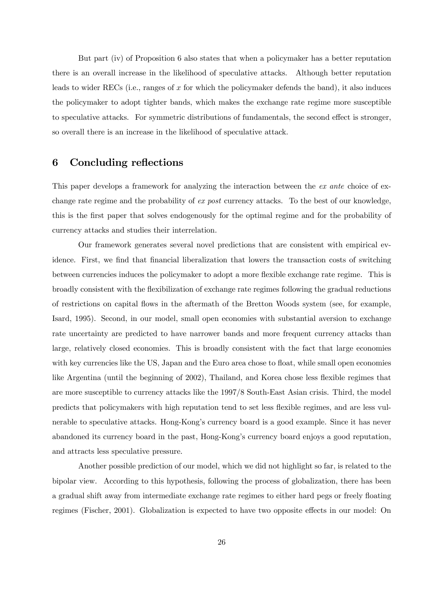But part (iv) of Proposition 6 also states that when a policymaker has a better reputation there is an overall increase in the likelihood of speculative attacks. Although better reputation leads to wider RECs (i.e., ranges of x for which the policymaker defends the band), it also induces the policymaker to adopt tighter bands, which makes the exchange rate regime more susceptible to speculative attacks. For symmetric distributions of fundamentals, the second effect is stronger, so overall there is an increase in the likelihood of speculative attack.

# 6 Concluding reflections

This paper develops a framework for analyzing the interaction between the ex ante choice of exchange rate regime and the probability of ex post currency attacks. To the best of our knowledge, this is the first paper that solves endogenously for the optimal regime and for the probability of currency attacks and studies their interrelation.

Our framework generates several novel predictions that are consistent with empirical evidence. First, we find that financial liberalization that lowers the transaction costs of switching between currencies induces the policymaker to adopt a more flexible exchange rate regime. This is broadly consistent with the flexibilization of exchange rate regimes following the gradual reductions of restrictions on capital flows in the aftermath of the Bretton Woods system (see, for example, Isard, 1995). Second, in our model, small open economies with substantial aversion to exchange rate uncertainty are predicted to have narrower bands and more frequent currency attacks than large, relatively closed economies. This is broadly consistent with the fact that large economies with key currencies like the US, Japan and the Euro area chose to float, while small open economies like Argentina (until the beginning of 2002), Thailand, and Korea chose less flexible regimes that are more susceptible to currency attacks like the 1997/8 South-East Asian crisis. Third, the model predicts that policymakers with high reputation tend to set less flexible regimes, and are less vulnerable to speculative attacks. Hong-Kong's currency board is a good example. Since it has never abandoned its currency board in the past, Hong-Kong's currency board enjoys a good reputation, and attracts less speculative pressure.

Another possible prediction of our model, which we did not highlight so far, is related to the bipolar view. According to this hypothesis, following the process of globalization, there has been a gradual shift away from intermediate exchange rate regimes to either hard pegs or freely floating regimes (Fischer, 2001). Globalization is expected to have two opposite effects in our model: On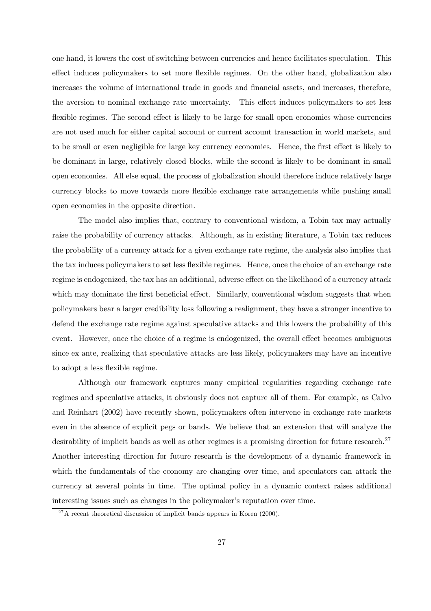one hand, it lowers the cost of switching between currencies and hence facilitates speculation. This effect induces policymakers to set more flexible regimes. On the other hand, globalization also increases the volume of international trade in goods and financial assets, and increases, therefore, the aversion to nominal exchange rate uncertainty. This effect induces policymakers to set less flexible regimes. The second effect is likely to be large for small open economies whose currencies are not used much for either capital account or current account transaction in world markets, and to be small or even negligible for large key currency economies. Hence, the first effect is likely to be dominant in large, relatively closed blocks, while the second is likely to be dominant in small open economies. All else equal, the process of globalization should therefore induce relatively large currency blocks to move towards more flexible exchange rate arrangements while pushing small open economies in the opposite direction.

The model also implies that, contrary to conventional wisdom, a Tobin tax may actually raise the probability of currency attacks. Although, as in existing literature, a Tobin tax reduces the probability of a currency attack for a given exchange rate regime, the analysis also implies that the tax induces policymakers to set less flexible regimes. Hence, once the choice of an exchange rate regime is endogenized, the tax has an additional, adverse effect on the likelihood of a currency attack which may dominate the first beneficial effect. Similarly, conventional wisdom suggests that when policymakers bear a larger credibility loss following a realignment, they have a stronger incentive to defend the exchange rate regime against speculative attacks and this lowers the probability of this event. However, once the choice of a regime is endogenized, the overall effect becomes ambiguous since ex ante, realizing that speculative attacks are less likely, policymakers may have an incentive to adopt a less flexible regime.

Although our framework captures many empirical regularities regarding exchange rate regimes and speculative attacks, it obviously does not capture all of them. For example, as Calvo and Reinhart (2002) have recently shown, policymakers often intervene in exchange rate markets even in the absence of explicit pegs or bands. We believe that an extension that will analyze the desirability of implicit bands as well as other regimes is a promising direction for future research.<sup>27</sup> Another interesting direction for future research is the development of a dynamic framework in which the fundamentals of the economy are changing over time, and speculators can attack the currency at several points in time. The optimal policy in a dynamic context raises additional interesting issues such as changes in the policymaker's reputation over time.

 $^{27}$ A recent theoretical discussion of implicit bands appears in Koren (2000).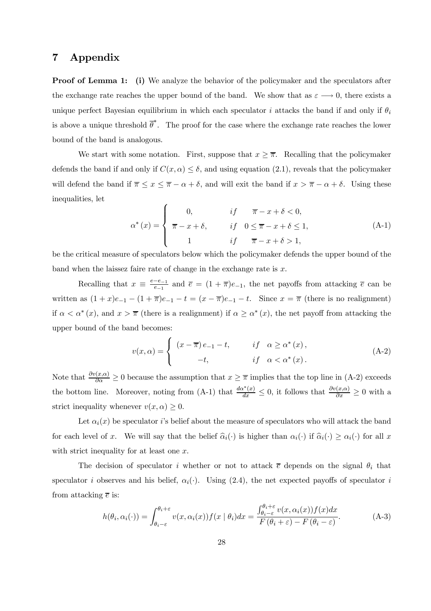# 7 Appendix

Proof of Lemma 1: (i) We analyze the behavior of the policymaker and the speculators after the exchange rate reaches the upper bound of the band. We show that as  $\varepsilon \longrightarrow 0$ , there exists a unique perfect Bayesian equilibrium in which each speculator i attacks the band if and only if  $\theta_i$ is above a unique threshold  $\bar{\theta}^*$ . The proof for the case where the exchange rate reaches the lower bound of the band is analogous.

We start with some notation. First, suppose that  $x \geq \overline{\pi}$ . Recalling that the policymaker defends the band if and only if  $C(x, \alpha) \leq \delta$ , and using equation (2.1), reveals that the policymaker will defend the band if  $\overline{\pi} \leq x \leq \overline{\pi} - \alpha + \delta$ , and will exit the band if  $x > \overline{\pi} - \alpha + \delta$ . Using these inequalities, let

$$
\alpha^*(x) = \begin{cases}\n0, & if \quad \overline{\pi} - x + \delta < 0, \\
\overline{\pi} - x + \delta, & if \quad 0 \le \overline{\pi} - x + \delta \le 1, \\
1 & if \quad \overline{\pi} - x + \delta > 1,\n\end{cases}
$$
\n(A-1)

be the critical measure of speculators below which the policymaker defends the upper bound of the band when the laissez faire rate of change in the exchange rate is  $x$ .

Recalling that  $x \equiv \frac{e-e_{-1}}{e_{-1}}$  and  $\overline{e} = (1 + \overline{\pi})e_{-1}$ , the net payoffs from attacking  $\overline{e}$  can be written as  $(1+x)e_{-1} - (1+\overline{\pi})e_{-1} - t = (x-\overline{\pi})e_{-1} - t$ . Since  $x = \overline{\pi}$  (there is no realignment) if  $\alpha < \alpha^*(x)$ , and  $x > \overline{\pi}$  (there is a realignment) if  $\alpha \geq \alpha^*(x)$ , the net payoff from attacking the upper bound of the band becomes:

$$
v(x,\alpha) = \begin{cases} (x-\overline{\pi})e_{-1} - t, & if \alpha \ge \alpha^*(x), \\ -t, & if \alpha < \alpha^*(x). \end{cases}
$$
 (A-2)

Note that  $\frac{\partial v(x,\alpha)}{\partial \alpha} \ge 0$  because the assumption that  $x \ge \overline{\pi}$  implies that the top line in (A-2) exceeds the bottom line. Moreover, noting from (A-1) that  $\frac{d\alpha^*(x)}{dx} \leq 0$ , it follows that  $\frac{\partial v(x,\alpha)}{\partial x} \geq 0$  with a strict inequality whenever  $v(x, \alpha) \geq 0$ .

Let  $\alpha_i(x)$  be speculator is belief about the measure of speculators who will attack the band for each level of x. We will say that the belief  $\hat{\alpha}_i(\cdot)$  is higher than  $\alpha_i(\cdot)$  if  $\hat{\alpha}_i(\cdot) \ge \alpha_i(\cdot)$  for all x with strict inequality for at least one x.

The decision of speculator i whether or not to attack  $\bar{e}$  depends on the signal  $\theta_i$  that speculator i observes and his belief,  $\alpha_i(\cdot)$ . Using (2.4), the net expected payoffs of speculator i from attacking  $\bar{e}$  is:

$$
h(\theta_i, \alpha_i(\cdot)) = \int_{\theta_i - \varepsilon}^{\theta_i + \varepsilon} v(x, \alpha_i(x)) f(x \mid \theta_i) dx = \frac{\int_{\theta_i - \varepsilon}^{\theta_i + \varepsilon} v(x, \alpha_i(x)) f(x) dx}{F(\theta_i + \varepsilon) - F(\theta_i - \varepsilon)}.
$$
 (A-3)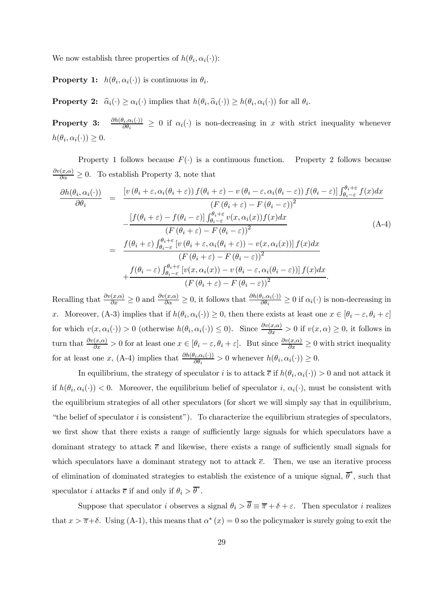We now establish three properties of  $h(\theta_i, \alpha_i(\cdot))$ :

**Property 1:**  $h(\theta_i, \alpha_i(\cdot))$  is continuous in  $\theta_i$ .

**Property 2:**  $\widehat{\alpha}_i(\cdot) \geq \alpha_i(\cdot)$  implies that  $h(\theta_i, \widehat{\alpha}_i(\cdot)) \geq h(\theta_i, \alpha_i(\cdot))$  for all  $\theta_i$ .

Property 3:  $\frac{\partial h(\theta_i,\alpha_i(\cdot))}{\partial \theta_i} \geq 0$  if  $\alpha_i(\cdot)$  is non-decreasing in x with strict inequality whenever  $h(\theta_i, \alpha_i(\cdot)) \geq 0.$ 

Property 1 follows because  $F(.)$  is a continuous function. Property 2 follows because  $\frac{\partial v(x,\alpha)}{\partial \alpha} \geq 0$ . To establish Property 3, note that

$$
\frac{\partial h(\theta_i, \alpha_i(\cdot))}{\partial \theta_i} = \frac{\left[ v\left(\theta_i + \varepsilon, \alpha_i(\theta_i + \varepsilon)\right) f(\theta_i + \varepsilon) - v\left(\theta_i - \varepsilon, \alpha_i(\theta_i - \varepsilon)\right) f(\theta_i - \varepsilon)\right] \int_{\theta_i - \varepsilon}^{\theta_i + \varepsilon} f(x) dx}{\left(F\left(\theta_i + \varepsilon\right) - F\left(\theta_i - \varepsilon\right)\right] \int_{\theta_i - \varepsilon}^{\theta_i + \varepsilon} v(x, \alpha_i(x)) f(x) dx} \\\qquad \qquad - \frac{\left[f(\theta_i + \varepsilon) - f(\theta_i - \varepsilon)\right] \int_{\theta_i - \varepsilon}^{\theta_i + \varepsilon} v(x, \alpha_i(x)) f(x) dx}{\left(F\left(\theta_i + \varepsilon\right) - F\left(\theta_i - \varepsilon\right)\right)^2} \\\qquad \qquad + \frac{f(\theta_i - \varepsilon) \int_{\theta_i - \varepsilon}^{\theta_i + \varepsilon} \left[v\left(x, \alpha_i(x)\right) - v\left(\theta_i - \varepsilon, \alpha_i(\theta_i - \varepsilon)\right)\right] f(x) dx}{\left(F\left(\theta_i + \varepsilon\right) - F\left(\theta_i - \varepsilon\right)\right)^2} \\\qquad \qquad + \frac{f(\theta_i - \varepsilon) \int_{\theta_i - \varepsilon}^{\theta_i + \varepsilon} \left[v(x, \alpha_i(x)) - v\left(\theta_i - \varepsilon, \alpha_i(\theta_i - \varepsilon)\right)\right] f(x) dx}{\left(F\left(\theta_i + \varepsilon\right) - F\left(\theta_i - \varepsilon\right)\right)^2}.
$$
\n(A-4)

Recalling that  $\frac{\partial v(x,\alpha)}{\partial x} \ge 0$  and  $\frac{\partial v(x,\alpha)}{\partial \alpha} \ge 0$ , it follows that  $\frac{\partial h(\theta_i,\alpha_i(\cdot))}{\partial \theta_i} \ge 0$  if  $\alpha_i(\cdot)$  is non-decreasing in x. Moreover, (A-3) implies that if  $h(\theta_i, \alpha_i(\cdot)) \geq 0$ , then there exists at least one  $x \in [\theta_i - \varepsilon, \theta_i + \varepsilon]$ for which  $v(x, \alpha_i(\cdot)) > 0$  (otherwise  $h(\theta_i, \alpha_i(\cdot)) \leq 0$ ). Since  $\frac{\partial v(x, \alpha)}{\partial x} > 0$  if  $v(x, \alpha) \geq 0$ , it follows in turn that  $\frac{\partial v(x,\alpha)}{\partial x} > 0$  for at least one  $x \in [\theta_i - \varepsilon, \theta_i + \varepsilon]$ . But since  $\frac{\partial v(x,\alpha)}{\partial x} \ge 0$  with strict inequality for at least one x, (A-4) implies that  $\frac{\partial h(\theta_i, \alpha_i(\cdot))}{\partial \theta_i} > 0$  whenever  $h(\theta_i, \alpha_i(\cdot)) \geq 0$ .

In equilibrium, the strategy of speculator i is to attack  $\bar{e}$  if  $h(\theta_i, \alpha_i(\cdot)) > 0$  and not attack it if  $h(\theta_i, \alpha_i(\cdot)) < 0$ . Moreover, the equilibrium belief of speculator i,  $\alpha_i(\cdot)$ , must be consistent with the equilibrium strategies of all other speculators (for short we will simply say that in equilibrium, "the belief of speculator  $i$  is consistent"). To characterize the equilibrium strategies of speculators, we first show that there exists a range of sufficiently large signals for which speculators have a dominant strategy to attack  $\bar{e}$  and likewise, there exists a range of sufficiently small signals for which speculators have a dominant strategy not to attack  $\bar{e}$ . Then, we use an iterative process of elimination of dominated strategies to establish the existence of a unique signal,  $\overline{\theta}^*$ , such that speculator *i* attacks  $\overline{e}$  if and only if  $\theta_i > \overline{\theta}^*$ .

Suppose that speculator i observes a signal  $\theta_i > \overline{\theta} \equiv \overline{\pi} + \delta + \varepsilon$ . Then speculator i realizes that  $x > \overline{\pi} + \delta$ . Using (A-1), this means that  $\alpha^*(x) = 0$  so the policymaker is surely going to exit the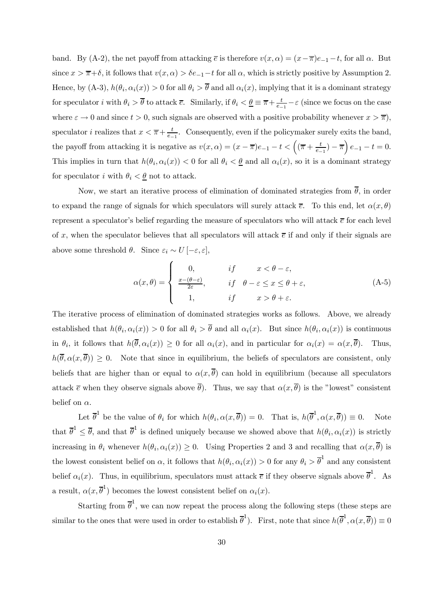band. By (A-2), the net payoff from attacking  $\bar{e}$  is therefore  $v(x, \alpha)=(x-\bar{\pi})e_{-1}-t$ , for all  $\alpha$ . But since  $x > \overline{\pi} + \delta$ , it follows that  $v(x, \alpha) > \delta e_{-1} - t$  for all  $\alpha$ , which is strictly positive by Assumption 2. Hence, by (A-3),  $h(\theta_i, \alpha_i(x)) > 0$  for all  $\theta_i > \overline{\theta}$  and all  $\alpha_i(x)$ , implying that it is a dominant strategy for speculator *i* with  $\theta_i > \overline{\theta}$  to attack  $\overline{e}$ . Similarly, if  $\theta_i < \underline{\theta} \equiv \overline{\pi} + \frac{t}{e_{-1}} - \varepsilon$  (since we focus on the case where  $\varepsilon \to 0$  and since  $t > 0$ , such signals are observed with a positive probability whenever  $x > \overline{\pi}$ ), speculator *i* realizes that  $x < \overline{\pi} + \frac{t}{e-1}$ . Consequently, even if the policymaker surely exits the band, the payoff from attacking it is negative as  $v(x, \alpha) = (x - \overline{\pi})e_{-1} - t < ((\overline{\pi} + \frac{t}{e_{-1}}) - \overline{\pi})e_{-1} - t = 0.$ This implies in turn that  $h(\theta_i, \alpha_i(x)) < 0$  for all  $\theta_i < \underline{\theta}$  and all  $\alpha_i(x)$ , so it is a dominant strategy for speculator i with  $\theta_i < \underline{\theta}$  not to attack.

Now, we start an iterative process of elimination of dominated strategies from  $\bar{\theta}$ , in order to expand the range of signals for which speculators will surely attack  $\bar{e}$ . To this end, let  $\alpha(x, \theta)$ represent a speculator's belief regarding the measure of speculators who will attack  $\bar{e}$  for each level of x, when the speculator believes that all speculators will attack  $\bar{e}$  if and only if their signals are above some threshold  $\theta$ . Since  $\varepsilon_i \sim U\left[-\varepsilon,\varepsilon\right],$ 

$$
\alpha(x,\theta) = \begin{cases}\n0, & if \quad x < \theta - \varepsilon, \\
\frac{x - (\theta - \varepsilon)}{2\varepsilon}, & if \quad \theta - \varepsilon \le x \le \theta + \varepsilon, \\
1, & if \quad x > \theta + \varepsilon.\n\end{cases}
$$
\n(A-5)

The iterative process of elimination of dominated strategies works as follows. Above, we already established that  $h(\theta_i, \alpha_i(x)) > 0$  for all  $\theta_i > \overline{\theta}$  and all  $\alpha_i(x)$ . But since  $h(\theta_i, \alpha_i(x))$  is continuous in  $\theta_i$ , it follows that  $h(\overline{\theta}, \alpha_i(x)) \geq 0$  for all  $\alpha_i(x)$ , and in particular for  $\alpha_i(x) = \alpha(x, \overline{\theta})$ . Thus,  $h(\overline{\theta}, \alpha(x, \overline{\theta})) \geq 0$ . Note that since in equilibrium, the beliefs of speculators are consistent, only beliefs that are higher than or equal to  $\alpha(x, \overline{\theta})$  can hold in equilibrium (because all speculators attack  $\bar{e}$  when they observe signals above  $\bar{\theta}$ ). Thus, we say that  $\alpha(x, \bar{\theta})$  is the "lowest" consistent belief on  $\alpha$ .

Let  $\overline{\theta}^1$  be the value of  $\theta_i$  for which  $h(\theta_i, \alpha(x, \overline{\theta})) = 0$ . That is,  $h(\overline{\theta}^1, \alpha(x, \overline{\theta})) \equiv 0$ . Note that  $\overline{\theta}^1 \leq \overline{\theta}$ , and that  $\overline{\theta}^1$  is defined uniquely because we showed above that  $h(\theta_i, \alpha_i(x))$  is strictly increasing in  $\theta_i$  whenever  $h(\theta_i, \alpha_i(x)) \geq 0$ . Using Properties 2 and 3 and recalling that  $\alpha(x, \overline{\theta})$  is the lowest consistent belief on  $\alpha$ , it follows that  $h(\theta_i, \alpha_i(x)) > 0$  for any  $\theta_i > \overline{\theta}^1$  and any consistent belief  $\alpha_i(x)$ . Thus, in equilibrium, speculators must attack  $\overline{e}$  if they observe signals above  $\overline{\theta}^1$ . As a result,  $\alpha(x, \overline{\theta}^1)$  becomes the lowest consistent belief on  $\alpha_i(x)$ .

Starting from  $\bar{\theta}^1$ , we can now repeat the process along the following steps (these steps are similar to the ones that were used in order to establish  $\overline{\theta}^1$ ). First, note that since  $h(\overline{\theta}^1, \alpha(x, \overline{\theta})) \equiv 0$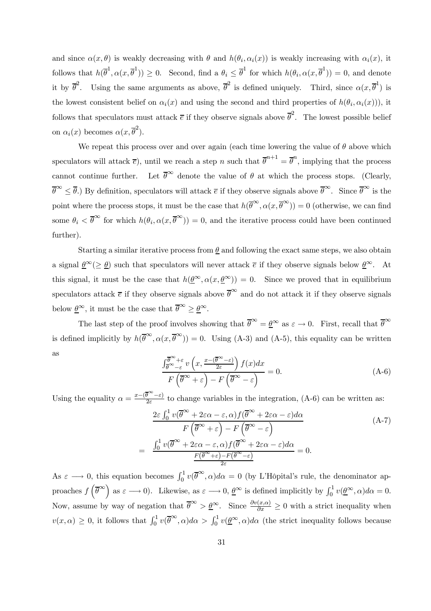and since  $\alpha(x, \theta)$  is weakly decreasing with  $\theta$  and  $h(\theta_i, \alpha_i(x))$  is weakly increasing with  $\alpha_i(x)$ , it follows that  $h(\overline{\theta}^1, \alpha(x, \overline{\theta}^1)) \ge 0$ . Second, find a  $\theta_i \le \overline{\theta}^1$  for which  $h(\theta_i, \alpha(x, \overline{\theta}^1)) = 0$ , and denote it by  $\overline{\theta}^2$ . Using the same arguments as above,  $\overline{\theta}^2$  is defined uniquely. Third, since  $\alpha(x,\overline{\theta}^1)$  is the lowest consistent belief on  $\alpha_i(x)$  and using the second and third properties of  $h(\theta_i, \alpha_i(x))$ , it follows that speculators must attack  $\bar{e}$  if they observe signals above  $\bar{\theta}^2$ . The lowest possible belief on  $\alpha_i(x)$  becomes  $\alpha(x, \overline{\theta}^2)$ .

We repeat this process over and over again (each time lowering the value of  $\theta$  above which speculators will attack  $\bar{e}$ ), until we reach a step n such that  $\bar{\theta}^{n+1} = \bar{\theta}^n$ , implying that the process cannot continue further. Let  $\bar{\theta}^{\infty}$  denote the value of  $\theta$  at which the process stops. (Clearly,  $\overline{\theta}^{\infty} \leq \overline{\theta}$ .) By definition, speculators will attack  $\overline{e}$  if they observe signals above  $\overline{\theta}^{\infty}$ . Since  $\overline{\theta}^{\infty}$  is the point where the process stops, it must be the case that  $h(\overline{\theta}^{\infty}, \alpha(x, \overline{\theta}^{\infty})) = 0$  (otherwise, we can find some  $\theta_i < \overline{\theta}^{\infty}$  for which  $h(\theta_i, \alpha(x, \overline{\theta}^{\infty})) = 0$ , and the iterative process could have been continued further).

Starting a similar iterative process from  $\theta$  and following the exact same steps, we also obtain a signal  $\underline{\theta}^{\infty}(\geq \underline{\theta})$  such that speculators will never attack  $\overline{e}$  if they observe signals below  $\underline{\theta}^{\infty}$ . At this signal, it must be the case that  $h(\underline{\theta}^{\infty}, \alpha(x, \underline{\theta}^{\infty})) = 0$ . Since we proved that in equilibrium speculators attack  $\bar{e}$  if they observe signals above  $\bar{\theta}^{\infty}$  and do not attack it if they observe signals below  $\underline{\theta}^{\infty}$ , it must be the case that  $\overline{\theta}^{\infty} \geq \underline{\theta}^{\infty}$ .

The last step of the proof involves showing that  $\overline{\theta}^{\infty} = \underline{\theta}^{\infty}$  as  $\varepsilon \to 0$ . First, recall that  $\overline{\theta}^{\infty}$ is defined implicitly by  $h(\overline{\theta}^{\infty}, \alpha(x, \overline{\theta}^{\infty})) = 0$ . Using (A-3) and (A-5), this equality can be written as

$$
\frac{\int_{\overline{\theta}^{\infty}+\varepsilon}^{\overline{\theta}^{\infty}+\varepsilon}v\left(x,\frac{x-(\overline{\theta}^{\infty}-\varepsilon)}{2\varepsilon}\right)f(x)dx}{F\left(\overline{\theta}^{\infty}+\varepsilon\right)-F\left(\overline{\theta}^{\infty}-\varepsilon\right)}=0.
$$
\n(A-6)

Using the equality  $\alpha = \frac{x-(\bar{\theta}^{\infty}-\varepsilon)}{2\varepsilon}$  to change variables in the integration, (A-6) can be written as:

$$
\frac{2\varepsilon \int_0^1 v(\overline{\theta}^{\infty} + 2\varepsilon\alpha - \varepsilon, \alpha) f(\overline{\theta}^{\infty} + 2\varepsilon\alpha - \varepsilon) d\alpha}{F(\overline{\theta}^{\infty} + \varepsilon) - F(\overline{\theta}^{\infty} - \varepsilon)}
$$
\n
$$
= \frac{\int_0^1 v(\overline{\theta}^{\infty} + 2\varepsilon\alpha - \varepsilon, \alpha) f(\overline{\theta}^{\infty} + 2\varepsilon\alpha - \varepsilon) d\alpha}{F(\overline{\theta}^{\infty} + \varepsilon) - F(\overline{\theta}^{\infty} - \varepsilon)} = 0.
$$
\n(A-7)

As  $\varepsilon \longrightarrow 0$ , this equation becomes  $\int_0^1 v(\overline{\theta}^{\infty}, \alpha) d\alpha = 0$  (by L'Hôpital's rule, the denominator approaches  $f\left(\overline{\theta}^{\infty}\right)$  as  $\varepsilon \longrightarrow 0$ ). Likewise, as  $\varepsilon \longrightarrow 0$ ,  $\underline{\theta}^{\infty}$  is defined implicitly by  $\int_0^1 v(\underline{\theta}^{\infty}, \alpha) d\alpha = 0$ . Now, assume by way of negation that  $\bar{\theta}^{\infty} > \underline{\theta}^{\infty}$ . Since  $\frac{\partial v(x,\alpha)}{\partial x} \geq 0$  with a strict inequality when  $v(x, \alpha) \geq 0$ , it follows that  $\int_0^1 v(\overline{\theta}^{\infty}, \alpha) d\alpha > \int_0^1 v(\underline{\theta}^{\infty}, \alpha) d\alpha$  (the strict inequality follows because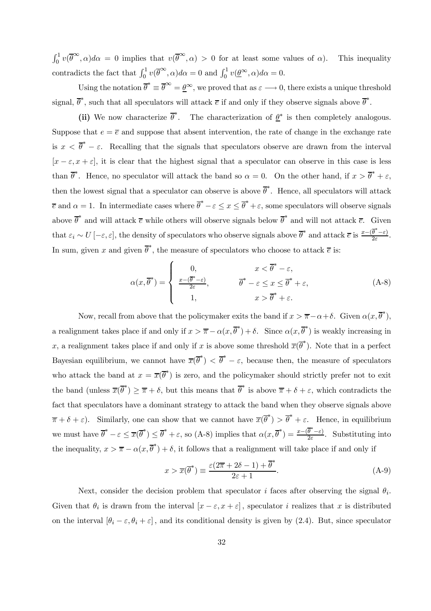$\int_0^1 v(\overline{\theta}^{\infty}, \alpha) d\alpha = 0$  implies that  $v(\overline{\theta}^{\infty}, \alpha) > 0$  for at least some values of  $\alpha$ ). This inequality contradicts the fact that  $\int_0^1 v(\overline{\theta}^{\infty}, \alpha) d\alpha = 0$  and  $\int_0^1 v(\underline{\theta}^{\infty}, \alpha) d\alpha = 0$ .

Using the notation  $\overline{\theta}^* \equiv \overline{\theta}^{\infty} = \underline{\theta}^{\infty}$ , we proved that as  $\varepsilon \longrightarrow 0$ , there exists a unique threshold signal,  $\overline{\theta}^*$ , such that all speculators will attack  $\overline{e}$  if and only if they observe signals above  $\overline{\theta}^*$ .

(ii) We now characterize  $\overline{\theta}^*$ . The characterization of  $\underline{\theta}^*$  is then completely analogous. Suppose that  $e = \overline{e}$  and suppose that absent intervention, the rate of change in the exchange rate is  $x < \overline{\theta}^* - \varepsilon$ . Recalling that the signals that speculators observe are drawn from the interval  $[x - \varepsilon, x + \varepsilon]$ , it is clear that the highest signal that a speculator can observe in this case is less than  $\overline{\theta}^*$ . Hence, no speculator will attack the band so  $\alpha = 0$ . On the other hand, if  $x > \overline{\theta}^* + \varepsilon$ , then the lowest signal that a speculator can observe is above  $\overline{\theta}^*$ . Hence, all speculators will attack  $\overline{e}$  and  $\alpha = 1$ . In intermediate cases where  $\overline{\theta}^* - \varepsilon \le x \le \overline{\theta}^* + \varepsilon$ , some speculators will observe signals above  $\overline{\theta}^*$  and will attack  $\overline{e}$  while others will observe signals below  $\overline{\theta}^*$  and will not attack  $\overline{e}$ . Given that  $\varepsilon_i \sim U\left[-\varepsilon, \varepsilon\right]$ , the density of speculators who observe signals above  $\overline{\theta}^*$  and attack  $\overline{e}$  is  $\frac{x-(\overline{\theta}^*-\varepsilon)}{2\varepsilon}$ . In sum, given x and given  $\overline{\theta}^*$ , the measure of speculators who choose to attack  $\overline{e}$  is:

$$
\alpha(x,\overline{\theta}^*) = \begin{cases}\n0, & x < \overline{\theta}^* - \varepsilon, \\
\frac{x - (\overline{\theta}^* - \varepsilon)}{2\varepsilon}, & \overline{\theta}^* - \varepsilon \le x \le \overline{\theta}^* + \varepsilon, \\
1, & x > \overline{\theta}^* + \varepsilon.\n\end{cases} (A-8)
$$

Now, recall from above that the policymaker exits the band if  $x > \overline{\pi} - \alpha + \delta$ . Given  $\alpha(x, \overline{\theta}^*)$ , a realignment takes place if and only if  $x > \overline{\pi} - \alpha(x, \overline{\theta}^*) + \delta$ . Since  $\alpha(x, \overline{\theta}^*)$  is weakly increasing in x, a realignment takes place if and only if x is above some threshold  $\overline{x}(\overline{\theta}^*)$ . Note that in a perfect Bayesian equilibrium, we cannot have  $\overline{x}(\overline{\theta}^*) < \overline{\theta}^* - \varepsilon$ , because then, the measure of speculators who attack the band at  $x = \overline{x}(\overline{\theta}^*)$  is zero, and the policymaker should strictly prefer not to exit the band (unless  $\overline{x}(\overline{\theta}^*) \geq \overline{\pi} + \delta$ , but this means that  $\overline{\theta}^*$  is above  $\overline{\pi} + \delta + \varepsilon$ , which contradicts the fact that speculators have a dominant strategy to attack the band when they observe signals above  $\overline{\pi} + \delta + \varepsilon$ ). Similarly, one can show that we cannot have  $\overline{x}(\overline{\theta}^*) > \overline{\theta}^* + \varepsilon$ . Hence, in equilibrium we must have  $\overline{\theta}^* - \varepsilon \leq \overline{x}(\overline{\theta}^*) \leq \overline{\theta}^* + \varepsilon$ , so (A-8) implies that  $\alpha(x, \overline{\theta}^*) = \frac{x - (\overline{\theta}^* - \varepsilon)}{2\varepsilon}$ . Substituting into the inequality,  $x > \overline{\pi} - \alpha(x, \overline{\theta}^*) + \delta$ , it follows that a realignment will take place if and only if

$$
x > \overline{x}(\overline{\theta}^*) \equiv \frac{\varepsilon(2\overline{\pi} + 2\delta - 1) + \overline{\theta}^*}{2\varepsilon + 1}.
$$
 (A-9)

Next, consider the decision problem that speculator i faces after observing the signal  $\theta_i$ . Given that  $\theta_i$  is drawn from the interval  $[x - \varepsilon, x + \varepsilon]$ , speculator i realizes that x is distributed on the interval  $[\theta_i - \varepsilon, \theta_i + \varepsilon]$ , and its conditional density is given by (2.4). But, since speculator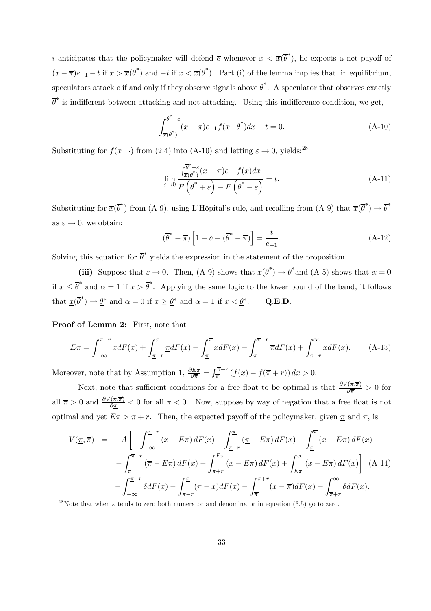*i* anticipates that the policymaker will defend  $\bar{e}$  whenever  $x < \bar{x}(\bar{\theta}^*)$ , he expects a net payoff of  $(x - \overline{\pi})e_{-1} - t$  if  $x > \overline{x}(\overline{\theta}^*)$  and  $-t$  if  $x < \overline{x}(\overline{\theta}^*)$ . Part (i) of the lemma implies that, in equilibrium, speculators attack  $\bar{e}$  if and only if they observe signals above  $\bar{\theta}^*$ . A speculator that observes exactly  $\overline{\theta}^*$  is indifferent between attacking and not attacking. Using this indifference condition, we get,

$$
\int_{\overline{x}(\overline{\theta}^*)}^{\overline{\theta}^*+\varepsilon} (x-\overline{\pi})e_{-1}f(x|\overline{\theta}^*)dx - t = 0.
$$
 (A-10)

Substituting for  $f(x \mid \cdot)$  from (2.4) into (A-10) and letting  $\varepsilon \to 0$ , yields:<sup>28</sup>

$$
\lim_{\varepsilon \to 0} \frac{\int_{\overline{x}(\overline{\theta}^*)}^{\overline{\theta}^* + \varepsilon} (x - \overline{x}) e_{-1} f(x) dx}{F\left(\overline{\theta}^* + \varepsilon\right) - F\left(\overline{\theta}^* - \varepsilon\right)} = t.
$$
\n(A-11)

Substituting for  $\overline{x}(\overline{\theta}^*)$  from (A-9), using L'Hôpital's rule, and recalling from (A-9) that  $\overline{x}(\overline{\theta}^*) \to \overline{\theta}^*$ as  $\varepsilon \to 0$ , we obtain:

$$
(\overline{\theta}^* - \overline{\pi}) \left[ 1 - \delta + (\overline{\theta}^* - \overline{\pi}) \right] = \frac{t}{e_{-1}}.
$$
 (A-12)

Solving this equation for  $\bar{\theta}^*$  yields the expression in the statement of the proposition.

(iii) Suppose that  $\varepsilon \to 0$ . Then, (A-9) shows that  $\overline{x}(\overline{\theta}^*) \to \overline{\theta}^*$  and (A-5) shows that  $\alpha = 0$ if  $x \leq \overline{\theta}^*$  and  $\alpha = 1$  if  $x > \overline{\theta}^*$ . Applying the same logic to the lower bound of the band, it follows that  $\underline{x}(\overline{\theta}^*) \to \underline{\theta}^*$  and  $\alpha = 0$  if  $x \ge \underline{\theta}^*$  and  $\alpha = 1$  if  $x < \underline{\theta}^*$ . Q.E.D.

Proof of Lemma 2: First, note that

$$
E\pi = \int_{-\infty}^{\pi-r} x dF(x) + \int_{\pi-r}^{\pi} \underline{\pi} dF(x) + \int_{\pi}^{\pi} x dF(x) + \int_{\pi}^{\pi+r} \overline{\pi} dF(x) + \int_{\pi+r}^{\infty} x dF(x).
$$
 (A-13)

Moreover, note that by Assumption 1,  $\frac{\partial E\pi}{\partial \overline{n}} = \int_{\overline{\pi}}^{\overline{\pi}+r} (f(x) - f(\overline{\pi} + r)) dx > 0$ .

Next, note that sufficient conditions for a free float to be optimal is that  $\frac{\partial V(\pi,\overline{\pi})}{\partial \overline{\pi}} > 0$  for all  $\overline{\pi} > 0$  and  $\frac{\partial V(\pi,\overline{\pi})}{\partial \pi} < 0$  for all  $\pi < 0$ . Now, suppose by way of negation that a free float is not optimal and yet  $E\pi > \overline{\pi} + r$ . Then, the expected payoff of the policymaker, given  $\underline{\pi}$  and  $\overline{\pi}$ , is

$$
V(\underline{\pi}, \overline{\pi}) = -A \left[ -\int_{-\infty}^{\underline{\pi} - r} (x - E\pi) dF(x) - \int_{\underline{\pi} - r}^{\underline{\pi}} (\underline{\pi} - E\pi) dF(x) - \int_{\underline{\pi}}^{\overline{\pi}} (x - E\pi) dF(x) \right]
$$

$$
- \int_{\overline{\pi}}^{\overline{\pi} + r} (\overline{\pi} - E\pi) dF(x) - \int_{\overline{\pi} + r}^{E\pi} (x - E\pi) dF(x) + \int_{E\pi}^{\infty} (x - E\pi) dF(x) \right] (A-14)
$$

$$
- \int_{-\infty}^{\underline{\pi} - r} \delta dF(x) - \int_{\underline{\pi} - r}^{\underline{\pi}} (\underline{\pi} - x) dF(x) - \int_{\overline{\pi}}^{\overline{\pi} + r} (x - \overline{\pi}) dF(x) - \int_{\overline{\pi} + r}^{\infty} \delta dF(x).
$$

<sup>28</sup>Note that when  $\varepsilon$  tends to zero both numerator and denominator in equation (3.5) go to zero.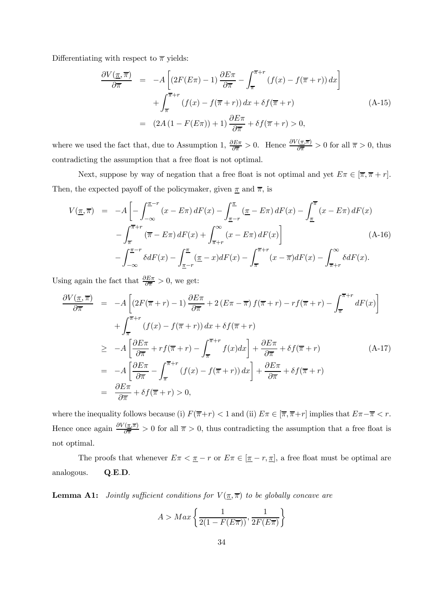Differentiating with respect to  $\bar{\pi}$  yields:

$$
\frac{\partial V(\pi,\overline{\pi})}{\partial \overline{\pi}} = -A \left[ (2F(E\pi) - 1) \frac{\partial E\pi}{\partial \overline{\pi}} - \int_{\overline{\pi}}^{\overline{\pi}+r} (f(x) - f(\overline{\pi} + r)) dx \right] \n+ \int_{\overline{\pi}}^{\overline{\pi}+r} (f(x) - f(\overline{\pi} + r)) dx + \delta f(\overline{\pi} + r) \n= (2A(1 - F(E\pi)) + 1) \frac{\partial E\pi}{\partial \overline{\pi}} + \delta f(\overline{\pi} + r) > 0,
$$
\n(A-15)

where we used the fact that, due to Assumption 1,  $\frac{\partial E \pi}{\partial \overline{n}} > 0$ . Hence  $\frac{\partial V(\pi, \overline{\pi})}{\partial \overline{n}} > 0$  for all  $\overline{\pi} > 0$ , thus contradicting the assumption that a free float is not optimal.

Next, suppose by way of negation that a free float is not optimal and yet  $E\pi \in [\overline{\pi}, \overline{\pi} + r]$ . Then, the expected payoff of the policymaker, given  $\pi$  and  $\overline{\pi}$ , is

$$
V(\underline{\pi}, \overline{\pi}) = -A \left[ -\int_{-\infty}^{\underline{\pi} - r} (x - E\pi) dF(x) - \int_{\underline{\pi} - r}^{\underline{\pi}} (\underline{\pi} - E\pi) dF(x) - \int_{\underline{\pi}}^{\overline{\pi}} (x - E\pi) dF(x) \right]
$$

$$
- \int_{\overline{\pi}}^{\overline{\pi} + r} (\overline{\pi} - E\pi) dF(x) + \int_{\overline{\pi} + r}^{\infty} (x - E\pi) dF(x) \right]
$$
(A-16)
$$
- \int_{-\infty}^{\underline{\pi} - r} \delta dF(x) - \int_{\underline{\pi} - r}^{\underline{\pi}} (\underline{\pi} - x) dF(x) - \int_{\overline{\pi}}^{\overline{\pi} + r} (x - \overline{\pi}) dF(x) - \int_{\overline{\pi} + r}^{\infty} \delta dF(x).
$$

Using again the fact that  $\frac{\partial E\pi}{\partial \overline{n}} > 0$ , we get:

$$
\frac{\partial V(\pi,\overline{\pi})}{\partial \overline{\pi}} = -A \left[ (2F(\overline{\pi}+r)-1) \frac{\partial E\pi}{\partial \overline{\pi}} + 2(E\pi - \overline{\pi}) f(\overline{\pi}+r) - rf(\overline{\pi}+r) - \int_{\overline{\pi}}^{\overline{\pi}+r} dF(x) \right]
$$

$$
+ \int_{\overline{\pi}}^{\overline{\pi}+r} (f(x) - f(\overline{\pi}+r)) dx + \delta f(\overline{\pi}+r)
$$

$$
\geq -A \left[ \frac{\partial E\pi}{\partial \overline{\pi}} + rf(\overline{\pi}+r) - \int_{\overline{\pi}}^{\overline{\pi}+r} f(x) dx \right] + \frac{\partial E\pi}{\partial \overline{\pi}} + \delta f(\overline{\pi}+r) \tag{A-17}
$$

$$
= -A \left[ \frac{\partial E\pi}{\partial \overline{\pi}} - \int_{\overline{\pi}}^{\overline{\pi}+r} (f(x) - f(\overline{\pi}+r)) dx \right] + \frac{\partial E\pi}{\partial \overline{\pi}} + \delta f(\overline{\pi}+r)
$$

$$
= \frac{\partial E\pi}{\partial \overline{\pi}} + \delta f(\overline{\pi}+r) > 0,
$$

where the inequality follows because (i)  $F(\overline{\pi}+r) < 1$  and (ii)  $E\pi \in [\overline{\pi}, \overline{\pi}+r]$  implies that  $E\pi - \overline{\pi} < r$ . Hence once again  $\frac{\partial V(\pi,\overline{\pi})}{\partial \overline{\pi}} > 0$  for all  $\overline{\pi} > 0$ , thus contradicting the assumption that a free float is not optimal.

The proofs that whenever  $E\pi < \underline{\pi} - r$  or  $E\pi \in [\underline{\pi} - r, \underline{\pi}]$ , a free float must be optimal are analogous. Q.E.D.

**Lemma A1:** Jointly sufficient conditions for  $V(\underline{\pi}, \overline{\pi})$  to be globally concave are

$$
A > Max\left\{\frac{1}{2(1 - F(E\overline{\pi}))}, \frac{1}{2F(E\overline{\pi})}\right\}
$$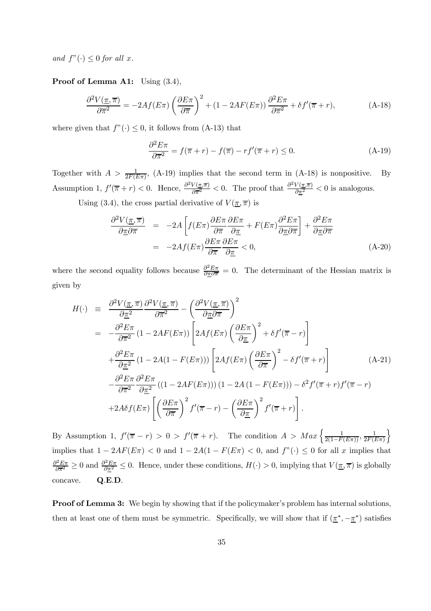and  $f''(\cdot) \leq 0$  for all x.

Proof of Lemma A1: Using  $(3.4)$ ,

$$
\frac{\partial^2 V(\pi, \overline{\pi})}{\partial \overline{\pi}^2} = -2Af(E\pi) \left(\frac{\partial E\pi}{\partial \overline{\pi}}\right)^2 + (1 - 2AF(E\pi)) \frac{\partial^2 E\pi}{\partial \overline{\pi}^2} + \delta f'(\overline{\pi} + r),\tag{A-18}
$$

where given that  $f''(\cdot) \leq 0$ , it follows from (A-13) that

$$
\frac{\partial^2 E \pi}{\partial \overline{\pi}^2} = f(\overline{\pi} + r) - f(\overline{\pi}) - rf'(\overline{\pi} + r) \le 0.
$$
 (A-19)

Together with  $A > \frac{1}{2F(E\pi)}$ , (A-19) implies that the second term in (A-18) is nonpositive. By Assumption 1,  $f'(\overline{\pi} + r) < 0$ . Hence,  $\frac{\partial^2 V(\overline{\pi}, \overline{\pi})}{\partial \overline{\pi}^2} < 0$ . The proof that  $\frac{\partial^2 V(\overline{\pi}, \overline{\pi})}{\partial \overline{\pi}^2} < 0$  is analogous.

Using (3.4), the cross partial derivative of  $V({\underline{\pi}},{\overline{\pi}})$  is

$$
\frac{\partial^2 V(\pi, \overline{\pi})}{\partial \pi \partial \overline{\pi}} = -2A \left[ f(E\pi) \frac{\partial E\pi}{\partial \overline{\pi}} \frac{\partial E\pi}{\partial \underline{\pi}} + F(E\pi) \frac{\partial^2 E\pi}{\partial \underline{\pi} \partial \overline{\pi}} \right] + \frac{\partial^2 E\pi}{\partial \underline{\pi} \partial \overline{\pi}} \n= -2Af(E\pi) \frac{\partial E\pi}{\partial \overline{\pi}} \frac{\partial E\pi}{\partial \underline{\pi}} \n(A-20)
$$

where the second equality follows because  $\frac{\partial^2 E\pi}{\partial \pi \partial \overline{\pi}} = 0$ . The determinant of the Hessian matrix is given by

$$
H(\cdot) \equiv \frac{\partial^2 V(\underline{\pi}, \overline{\pi})}{\partial \underline{\pi}^2} \frac{\partial^2 V(\underline{\pi}, \overline{\pi})}{\partial \overline{\pi}^2} - \left(\frac{\partial^2 V(\underline{\pi}, \overline{\pi})}{\partial \underline{\pi} \partial \overline{\pi}}\right)^2 = -\frac{\partial^2 E \pi}{\partial \overline{\pi}^2} (1 - 2AF(E\pi)) \left[2Af(E\pi) \left(\frac{\partial E \pi}{\partial \underline{\pi}}\right)^2 + \delta f'(\overline{\pi} - r)\right] + \frac{\partial^2 E \pi}{\partial \underline{\pi}^2} (1 - 2A(1 - F(E\pi))) \left[2Af(E\pi) \left(\frac{\partial E \pi}{\partial \overline{\pi}}\right)^2 - \delta f'(\overline{\pi} + r)\right] \qquad (A-21) - \frac{\partial^2 E \pi}{\partial \overline{\pi}^2} \frac{\partial^2 E \pi}{\partial \underline{\pi}^2} ((1 - 2AF(E\pi)))(1 - 2A(1 - F(E\pi))) - \delta^2 f'(\overline{\pi} + r) f'(\overline{\pi} - r) + 2A\delta f(E\pi) \left[\left(\frac{\partial E \pi}{\partial \overline{\pi}}\right)^2 f'(\overline{\pi} - r) - \left(\frac{\partial E \pi}{\partial \underline{\pi}}\right)^2 f'(\overline{\pi} + r)\right].
$$

By Assumption 1,  $f'(\overline{\pi} - r) > 0 > f'(\overline{\pi} + r)$ . The condition  $A > Max\left\{\frac{1}{2(1 - F(E\pi))}, \frac{1}{2F(E\pi)}\right\}$  $\mathcal{L}$ implies that  $1 - 2AF(E\pi) < 0$  and  $1 - 2A(1 - F(E\pi) < 0$ , and  $f''(.) \le 0$  for all x implies that  $\frac{\partial^2 E \pi}{\partial \overline{\pi}^2} \ge 0$  and  $\frac{\partial^2 E \pi}{\partial \overline{\pi}^2} \le 0$ . Hence, under these conditions,  $H(\cdot) > 0$ , implying that  $V(\underline{\pi}, \overline{\pi})$  is globally concave. Q.E.D.

Proof of Lemma 3: We begin by showing that if the policymaker's problem has internal solutions, then at least one of them must be symmetric. Specifically, we will show that if  $(\underline{\pi}^*, -\underline{\pi}^*)$  satisfies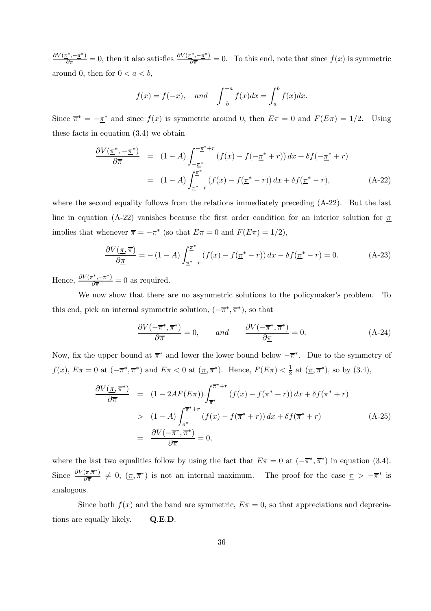$\frac{\partial V(\pi^*, -\pi^*)}{\partial \pi} = 0$ , then it also satisfies  $\frac{\partial V(\pi^*, -\pi^*)}{\partial \pi} = 0$ . To this end, note that since  $f(x)$  is symmetric around 0, then for  $0 < a < b$ ,

$$
f(x) = f(-x)
$$
, and  $\int_{-b}^{-a} f(x)dx = \int_{a}^{b} f(x)dx$ .

Since  $\overline{\pi}^* = -\underline{\pi}^*$  and since  $f(x)$  is symmetric around 0, then  $E\pi = 0$  and  $F(E\pi) = 1/2$ . Using these facts in equation (3.4) we obtain

$$
\frac{\partial V(\underline{\pi}^*, -\underline{\pi}^*)}{\partial \overline{\pi}} = (1 - A) \int_{-\underline{\pi}^*}^{-\underline{\pi}^* + r} (f(x) - f(-\underline{\pi}^* + r)) dx + \delta f(-\underline{\pi}^* + r)
$$
  

$$
= (1 - A) \int_{\underline{\pi}^* - r}^{\underline{\pi}^*} (f(x) - f(\underline{\pi}^* - r)) dx + \delta f(\underline{\pi}^* - r), \qquad (A-22)
$$

where the second equality follows from the relations immediately preceding  $(A-22)$ . But the last line in equation (A-22) vanishes because the first order condition for an interior solution for  $\pi$ implies that whenever  $\bar{\pi} = -\underline{\pi}^*$  (so that  $E\pi = 0$  and  $F(E\pi) = 1/2$ ),

$$
\frac{\partial V(\underline{\pi}, \overline{\pi})}{\partial \underline{\pi}} = -(1 - A) \int_{\underline{\pi}^* - r}^{\underline{\pi}^*} (f(x) - f(\underline{\pi}^* - r)) dx - \delta f(\underline{\pi}^* - r) = 0.
$$
 (A-23)

Hence,  $\frac{\partial V(\pi^*, -\pi^*)}{\partial \overline{\pi}} = 0$  as required.

We now show that there are no asymmetric solutions to the policymaker's problem. To this end, pick an internal symmetric solution,  $(-\overline{\pi}^*, \overline{\pi}^*)$ , so that

$$
\frac{\partial V(-\overline{\pi}^*, \overline{\pi}^*)}{\partial \overline{\pi}} = 0, \quad \text{and} \quad \frac{\partial V(-\overline{\pi}^*, \overline{\pi}^*)}{\partial \underline{\pi}} = 0. \quad (A-24)
$$

Now, fix the upper bound at  $\overline{\pi}^*$  and lower the lower bound below  $-\overline{\pi}^*$ . Due to the symmetry of  $f(x)$ ,  $E\pi = 0$  at  $(-\overline{\pi}^*, \overline{\pi}^*)$  and  $E\pi < 0$  at  $(\underline{\pi}, \overline{\pi}^*)$ . Hence,  $F(E\pi) < \frac{1}{2}$  at  $(\underline{\pi}, \overline{\pi}^*)$ , so by  $(3.4)$ ,

$$
\frac{\partial V(\underline{\pi}, \overline{\pi}^*)}{\partial \overline{\pi}} = (1 - 2AF(E\pi)) \int_{\overline{\pi}^*}^{\overline{\pi}^*+r} (f(x) - f(\overline{\pi}^* + r)) dx + \delta f(\overline{\pi}^* + r)
$$
  
> 
$$
(1 - A) \int_{\overline{\pi}^*}^{\overline{\pi}^*+r} (f(x) - f(\overline{\pi}^* + r)) dx + \delta f(\overline{\pi}^* + r)
$$
  
= 
$$
\frac{\partial V(-\overline{\pi}^*, \overline{\pi}^*)}{\partial \overline{\pi}} = 0,
$$
 (A-25)

where the last two equalities follow by using the fact that  $E\pi = 0$  at  $(-\overline{\pi}^*, \overline{\pi}^*)$  in equation (3.4). Since  $\frac{\partial V(\pi,\overline{\pi})}{\partial \overline{\pi}} \neq 0$ ,  $(\pi,\overline{\pi})$  is not an internal maximum. The proof for the case  $\pi > -\overline{\pi}^*$  is analogous.

Since both  $f(x)$  and the band are symmetric,  $E\pi = 0$ , so that appreciations and depreciations are equally likely. Q.E.D.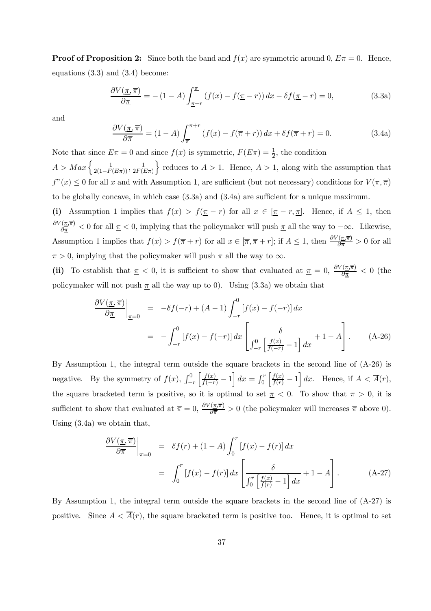**Proof of Proposition 2:** Since both the band and  $f(x)$  are symmetric around 0,  $E\pi = 0$ . Hence, equations (3.3) and (3.4) become:

$$
\frac{\partial V(\underline{\pi}, \overline{\pi})}{\partial \underline{\pi}} = -(1 - A) \int_{\underline{\pi} - r}^{\underline{\pi}} (f(x) - f(\underline{\pi} - r)) dx - \delta f(\underline{\pi} - r) = 0,
$$
\n(3.3a)

and

$$
\frac{\partial V(\pi,\overline{\pi})}{\partial \overline{\pi}} = (1-A) \int_{\overline{\pi}}^{\overline{\pi}+r} (f(x) - f(\overline{\pi}+r)) dx + \delta f(\overline{\pi}+r) = 0.
$$
 (3.4a)

Note that since  $E\pi = 0$  and since  $f(x)$  is symmetric,  $F(E\pi) = \frac{1}{2}$ , the condition  $A > Max\left\{\frac{1}{2(1 - F(E\pi))}, \frac{1}{2F(E\pi)}\right\}$ reduces to  $A > 1$ . Hence,  $A > 1$ , along with the assumption that  $f''(x) \leq 0$  for all x and with Assumption 1, are sufficient (but not necessary) conditions for  $V(\overline{x}, \overline{\pi})$ 

to be globally concave, in which case (3.3a) and (3.4a) are sufficient for a unique maximum. (i) Assumption 1 implies that  $f(x) > f(\overline{x} - r)$  for all  $x \in [\overline{x} - r, \overline{x}]$ . Hence, if  $A \leq 1$ , then  $\frac{\partial V(\bar{\pi},\bar{\pi})}{\partial \bar{\pi}}$  < 0 for all  $\bar{\pi}$  < 0, implying that the policymaker will push  $\bar{\pi}$  all the way to  $-\infty$ . Likewise, Assumption 1 implies that  $f(x) > f(\overline{\pi} + r)$  for all  $x \in [\overline{\pi}, \overline{\pi} + r]$ ; if  $A \leq 1$ , then  $\frac{\partial V(\overline{\pi}, \overline{\pi})}{\partial \overline{\pi}} > 0$  for all  $\overline{\pi} > 0$ , implying that the policymaker will push  $\overline{\pi}$  all the way to  $\infty$ .

(ii) To establish that  $\pi < 0$ , it is sufficient to show that evaluated at  $\pi = 0$ ,  $\frac{\partial V(\pi,\overline{\pi})}{\partial \pi} < 0$  (the policymaker will not push  $\pi$  all the way up to 0). Using (3.3a) we obtain that

$$
\frac{\partial V(\underline{\pi}, \overline{\pi})}{\partial \underline{\pi}}\Big|_{\underline{\pi}=0} = -\delta f(-r) + (A-1) \int_{-r}^{0} [f(x) - f(-r)] dx
$$

$$
= -\int_{-r}^{0} [f(x) - f(-r)] dx \left[ \frac{\delta}{\int_{-r}^{0} \left[ \frac{f(x)}{f(-r)} - 1 \right] dx} + 1 - A \right]. \tag{A-26}
$$

By Assumption 1, the integral term outside the square brackets in the second line of (A-26) is negative. By the symmetry of  $f(x)$ ,  $\int_{-}^{0}$  $-r$  $\left[\frac{f(x)}{f(-r)}-1\right]dx = \int_0^r$  $\left[\frac{f(x)}{f(r)}-1\right]dx$ . Hence, if  $A < \overline{A}(r)$ , the square bracketed term is positive, so it is optimal to set  $\pi < 0$ . To show that  $\pi > 0$ , it is sufficient to show that evaluated at  $\overline{\pi} = 0$ ,  $\frac{\partial V(\overline{x}, \overline{\pi})}{\partial \overline{\pi}} > 0$  (the policymaker will increases  $\overline{\pi}$  above 0). Using (3.4a) we obtain that,

$$
\frac{\partial V(\underline{\pi}, \overline{\pi})}{\partial \overline{\pi}}\Big|_{\overline{\pi}=0} = \delta f(r) + (1 - A) \int_0^r \left[ f(x) - f(r) \right] dx
$$

$$
= \int_0^r \left[ f(x) - f(r) \right] dx \left[ \frac{\delta}{\int_0^r \left[ \frac{f(x)}{f(r)} - 1 \right] dx} + 1 - A \right]. \tag{A-27}
$$

By Assumption 1, the integral term outside the square brackets in the second line of (A-27) is positive. Since  $A < \overline{A}(r)$ , the square bracketed term is positive too. Hence, it is optimal to set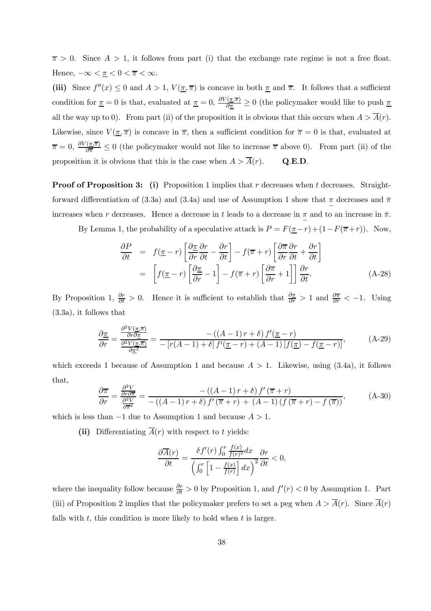$\overline{\pi} > 0$ . Since  $A > 1$ , it follows from part (i) that the exchange rate regime is not a free float. Hence,  $-\infty < \underline{\pi} < 0 < \overline{\pi} < \infty$ .

(iii) Since  $f''(x) \leq 0$  and  $A > 1$ ,  $V(\underline{\pi}, \overline{\pi})$  is concave in both  $\underline{\pi}$  and  $\overline{\pi}$ . It follows that a sufficient condition for  $\pi = 0$  is that, evaluated at  $\pi = 0$ ,  $\frac{\partial V(\pi,\overline{\pi})}{\partial \pi} \ge 0$  (the policymaker would like to push  $\pi$ all the way up to 0). From part (ii) of the proposition it is obvious that this occurs when  $A > \overline{A}(r)$ . Likewise, since  $V(\underline{\pi}, \overline{\pi})$  is concave in  $\overline{\pi}$ , then a sufficient condition for  $\overline{\pi} = 0$  is that, evaluated at  $\bar{\pi} = 0$ ,  $\frac{\partial V(\bar{\pi}, \bar{\pi})}{\partial \bar{\pi}} \leq 0$  (the policymaker would not like to increase  $\bar{\pi}$  above 0). From part (ii) of the proposition it is obvious that this is the case when  $A > \overline{A}(r)$ . Q.E.D.

**Proof of Proposition 3:** (i) Proposition 1 implies that r decreases when t decreases. Straightforward differentiation of (3.3a) and (3.4a) and use of Assumption 1 show that  $\pi$  decreases and  $\pi$ increases when r decreases. Hence a decrease in t leads to a decrease in  $\frac{\pi}{2}$  and to an increase in  $\bar{\pi}$ .

By Lemma 1, the probability of a speculative attack is  $P = F(\underline{\pi}-r) + (1-F(\overline{\pi}+r))$ . Now,

$$
\frac{\partial P}{\partial t} = f(\underline{\pi} - r) \left[ \frac{\partial \underline{\pi}}{\partial r} \frac{\partial r}{\partial t} - \frac{\partial r}{\partial t} \right] - f(\overline{\pi} + r) \left[ \frac{\partial \overline{\pi}}{\partial r} \frac{\partial r}{\partial t} + \frac{\partial r}{\partial t} \right]
$$

$$
= \left[ f(\underline{\pi} - r) \left[ \frac{\partial \underline{\pi}}{\partial r} - 1 \right] - f(\overline{\pi} + r) \left[ \frac{\partial \overline{\pi}}{\partial r} + 1 \right] \right] \frac{\partial r}{\partial t}.
$$
(A-28)

By Proposition 1,  $\frac{\partial r}{\partial t} > 0$ . Hence it is sufficient to establish that  $\frac{\partial \pi}{\partial r} > 1$  and  $\frac{\partial \pi}{\partial r} < -1$ . Using (3.3a), it follows that

$$
\frac{\partial \underline{\pi}}{\partial r} = \frac{\frac{\partial^2 V(\underline{\pi}, \overline{\pi})}{\partial r \partial \underline{\pi}}}{\frac{\partial^2 V(\underline{\pi}, \overline{\pi})}{\partial \underline{\pi}^2}} = \frac{-((A-1) \, r + \delta) \, f'(\underline{\pi} - r)}{-\left[r(A-1) + \delta\right] f'(\underline{\pi} - r) + (A-1) \left[f(\underline{\pi}) - f(\underline{\pi} - r)\right]},\tag{A-29}
$$

which exceeds 1 because of Assumption 1 and because  $A > 1$ . Likewise, using (3.4a), it follows that,

$$
\frac{\partial \overline{\pi}}{\partial r} = \frac{\frac{\partial^2 V}{\partial r \partial \overline{\pi}}}{\frac{\partial^2 V}{\partial \overline{\pi}^2}} = \frac{-((A-1) \, r + \delta) \, f'(\overline{\pi} + r)}{-((A-1) \, r + \delta) \, f'(\overline{\pi} + r) + (A-1) \left(f(\overline{\pi} + r) - f(\overline{\pi})\right)},\tag{A-30}
$$

which is less than  $-1$  due to Assumption 1 and because  $A > 1$ .

(ii) Differentiating  $\overline{A}(r)$  with respect to t yields:

$$
\frac{\partial \overline{A}(r)}{\partial t} = \frac{\delta f'(r) \int_0^r \frac{f(x)}{f(r)^2} dx}{\left(\int_0^r \left[1 - \frac{f(x)}{f(r)}\right] dx\right)^2} \frac{\partial r}{\partial t} < 0,
$$

where the inequality follow because  $\frac{\partial r}{\partial t} > 0$  by Proposition 1, and  $f'(r) < 0$  by Assumption 1. Part (iii) of Proposition 2 implies that the policymaker prefers to set a peg when  $A > \overline{A}(r)$ . Since  $\overline{A}(r)$ falls with  $t$ , this condition is more likely to hold when  $t$  is larger.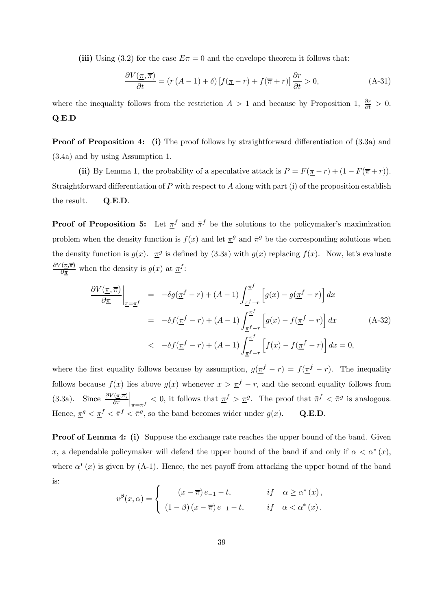(iii) Using (3.2) for the case  $E\pi = 0$  and the envelope theorem it follows that:

$$
\frac{\partial V(\underline{\pi}, \overline{\pi})}{\partial t} = (r(A-1) + \delta) \left[ f(\underline{\pi} - r) + f(\overline{\pi} + r) \right] \frac{\partial r}{\partial t} > 0,
$$
\n(A-31)

where the inequality follows from the restriction  $A > 1$  and because by Proposition 1,  $\frac{\partial r}{\partial t} > 0$ . Q.E.D

Proof of Proposition 4: (i) The proof follows by straightforward differentiation of  $(3.3a)$  and (3.4a) and by using Assumption 1.

(ii) By Lemma 1, the probability of a speculative attack is  $P = F(\pi - r) + (1 - F(\overline{\pi} + r))$ . Straightforward differentiation of  $P$  with respect to  $A$  along with part (i) of the proposition establish the result. Q.E.D.

**Proof of Proposition 5:** Let  $\pi^f$  and  $\bar{\pi}^f$  be the solutions to the policymaker's maximization problem when the density function is  $f(x)$  and let  $\pi<sup>g</sup>$  and  $\bar{\pi}^g$  be the corresponding solutions when the density function is  $g(x)$ .  $\pi^g$  is defined by (3.3a) with  $g(x)$  replacing  $f(x)$ . Now, let's evaluate  $\frac{\partial V(\pi,\overline{\pi})}{\partial \pi}$  when the density is  $g(x)$  at  $\underline{\pi}^f$ :

$$
\frac{\partial V(\underline{\pi}, \overline{\pi})}{\partial \underline{\pi}}\Big|_{\underline{\pi}=\underline{\pi}^f} = -\delta g(\underline{\pi}^f - r) + (A - 1) \int_{\underline{\pi}^f - r}^{\underline{\pi}^f} \left[ g(x) - g(\underline{\pi}^f - r) \right] dx
$$

$$
= -\delta f(\underline{\pi}^f - r) + (A - 1) \int_{\underline{\pi}^f - r}^{\underline{\pi}^f} \left[ g(x) - f(\underline{\pi}^f - r) \right] dx \qquad (A-32)
$$

$$
< -\delta f(\underline{\pi}^f - r) + (A - 1) \int_{\underline{\pi}^f - r}^{\underline{\pi}^f} \left[ f(x) - f(\underline{\pi}^f - r) \right] dx = 0,
$$

where the first equality follows because by assumption,  $g(\pi^f - r) = f(\pi^f - r)$ . The inequality follows because  $f(x)$  lies above  $g(x)$  whenever  $x > \frac{\pi}{2} - r$ , and the second equality follows from (3.3a). Since  $\frac{\partial V(\pi,\overline{\pi})}{\partial \pi}$  $\left|\frac{\pi}{\pi} < 0\right|$ , it follows that  $\pi^f > \pi^g$ . The proof that  $\pi^f < \pi^g$  is analogous. Hence,  $\overline{\pi}^g < \overline{\pi}^f < \overline{\pi}^g$ , so the band becomes wider under  $g(x)$ . Q.E.D.

**Proof of Lemma 4: (i)** Suppose the exchange rate reaches the upper bound of the band. Given x, a dependable policymaker will defend the upper bound of the band if and only if  $\alpha < \alpha^*(x)$ , where  $\alpha^*(x)$  is given by (A-1). Hence, the net payoff from attacking the upper bound of the band is:

$$
v^{\beta}(x,\alpha) = \begin{cases} (x-\overline{\pi})e_{-1} - t, & if \alpha \ge \alpha^*(x), \\ (1-\beta)(x-\overline{\pi})e_{-1} - t, & if \alpha < \alpha^*(x). \end{cases}
$$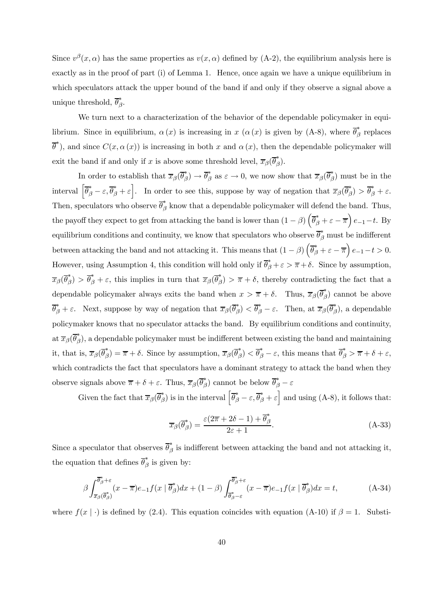Since  $v^{\beta}(x,\alpha)$  has the same properties as  $v(x,\alpha)$  defined by (A-2), the equilibrium analysis here is exactly as in the proof of part (i) of Lemma 1. Hence, once again we have a unique equilibrium in which speculators attack the upper bound of the band if and only if they observe a signal above a unique threshold,  $\overline{\theta}_{\beta}^*$ .

We turn next to a characterization of the behavior of the dependable policymaker in equilibrium. Since in equilibrium,  $\alpha(x)$  is increasing in  $x(\alpha(x))$  is given by (A-8), where  $\overline{\theta}_{\beta}^{*}$  replaces  $\overline{\theta}^*$ ), and since  $C(x, \alpha(x))$  is increasing in both x and  $\alpha(x)$ , then the dependable policymaker will exit the band if and only if x is above some threshold level,  $\overline{x}_{\beta}(\overline{\theta}_{\beta}^{*})$ .

In order to establish that  $\overline{x}_{\beta}(\overline{\theta}_{\beta}^*) \to \overline{\theta}_{\beta}^*$  as  $\varepsilon \to 0$ , we now show that  $\overline{x}_{\beta}(\overline{\theta}_{\beta}^*)$  must be in the interval  $\left[\overline{\theta}_{\beta}^{*}-\varepsilon,\overline{\theta}_{\beta}^{*}+\varepsilon\right]$ . In order to see this, suppose by way of negation that  $\overline{x}_{\beta}(\overline{\theta}_{\beta}^{*}) > \overline{\theta}_{\beta}^{*}+\varepsilon$ . Then, speculators who observe  $\overline{\theta}_{\beta}^{*}$  know that a dependable policymaker will defend the band. Thus, the payoff they expect to get from attacking the band is lower than  $(1 - \beta) \left( \overline{\theta}_{\beta}^{*} + \varepsilon - \overline{\pi} \right) e_{-1} - t$ . By equilibrium conditions and continuity, we know that speculators who observe  $\overline{\theta}_{\beta}^{*}$  must be indifferent between attacking the band and not attacking it. This means that  $(1 - \beta) \left( \overline{\theta}_{\beta}^{*} + \varepsilon - \overline{\pi} \right) e_{-1} - t > 0$ . However, using Assumption 4, this condition will hold only if  $\overline{\theta}_{\beta}^* + \varepsilon > \overline{\pi} + \delta$ . Since by assumption,  $\overline{x}_{\beta}(\overline{\theta}_{\beta}^{*}) > \overline{\theta}_{\beta}^{*} + \varepsilon$ , this implies in turn that  $\overline{x}_{\beta}(\overline{\theta}_{\beta}^{*}) > \overline{\pi} + \delta$ , thereby contradicting the fact that a dependable policymaker always exits the band when  $x > \overline{\pi} + \delta$ . Thus,  $\overline{x}_{\beta}(\overline{\theta}_{\beta}^{*})$  cannot be above  $\overline{\theta}_{\beta}^* + \varepsilon$ . Next, suppose by way of negation that  $\overline{x}_{\beta}(\overline{\theta}_{\beta}^*) < \overline{\theta}_{\beta}^* - \varepsilon$ . Then, at  $\overline{x}_{\beta}(\overline{\theta}_{\beta}^*)$ , a dependable policymaker knows that no speculator attacks the band. By equilibrium conditions and continuity, at  $\overline{x}_{\beta}(\overline{\theta}_{\beta}^{*})$ , a dependable policymaker must be indifferent between existing the band and maintaining it, that is,  $\overline{x}_{\beta}(\overline{\theta}_{\beta}^{*}) = \overline{\pi} + \delta$ . Since by assumption,  $\overline{x}_{\beta}(\overline{\theta}_{\beta}^{*}) < \overline{\theta}_{\beta}^{*} - \varepsilon$ , this means that  $\overline{\theta}_{\beta}^{*} > \overline{\pi} + \delta + \varepsilon$ , which contradicts the fact that speculators have a dominant strategy to attack the band when they observe signals above  $\overline{\pi} + \delta + \varepsilon$ . Thus,  $\overline{x}_{\beta}(\overline{\theta}_{\beta}^{*})$  cannot be below  $\overline{\theta}_{\beta}^{*} - \varepsilon$ 

Given the fact that  $\overline{x}_{\beta}(\overline{\theta}_{\beta}^{*})$  is in the interval  $\left[\overline{\theta}_{\beta}^{*}-\varepsilon,\overline{\theta}_{\beta}^{*}+\varepsilon\right]$  and using (A-8), it follows that:

$$
\overline{x}_{\beta}(\overline{\theta}_{\beta}^{*}) = \frac{\varepsilon(2\overline{\pi} + 2\delta - 1) + \overline{\theta}_{\beta}^{*}}{2\varepsilon + 1}.
$$
\n(A-33)

Since a speculator that observes  $\overline{\theta}_{\beta}^{*}$  is indifferent between attacking the band and not attacking it, the equation that defines  $\overline{\theta}_{\beta}^*$  is given by:

$$
\beta \int_{\overline{x}_{\beta}(\overline{\theta}_{\beta}^*)}^{\overline{\theta}_{\beta}^*+\varepsilon} (x-\overline{\pi})e_{-1}f(x|\overline{\theta}_{\beta}^*)dx + (1-\beta) \int_{\overline{\theta}_{\beta}^*-\varepsilon}^{\overline{\theta}_{\beta}^*+\varepsilon} (x-\overline{\pi})e_{-1}f(x|\overline{\theta}_{\beta}^*)dx = t,
$$
\n(A-34)

where  $f(x | \cdot)$  is defined by (2.4). This equation coincides with equation (A-10) if  $\beta = 1$ . Substi-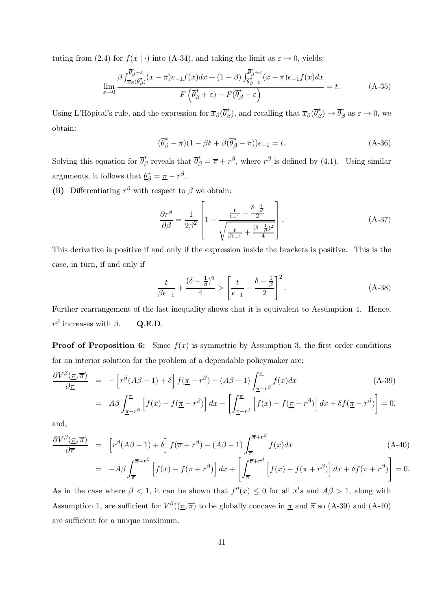tuting from (2.4) for  $f(x | \cdot)$  into (A-34), and taking the limit as  $\varepsilon \to 0$ , yields:

$$
\lim_{\varepsilon \to 0} \frac{\beta \int_{\overline{x}_{\beta}}^{\overline{\theta}_{\beta}^* + \varepsilon} (x - \overline{\pi}) e_{-1} f(x) dx + (1 - \beta) \int_{\overline{\theta}_{\beta}^* - \varepsilon}^{\overline{\theta}_{\beta}^* + \varepsilon} (x - \overline{\pi}) e_{-1} f(x) dx}{F\left(\overline{\theta}_{\beta}^* + \varepsilon\right) - F(\overline{\theta}_{\beta}^* - \varepsilon)} = t.
$$
\n(A-35)

Using L'Hôpital's rule, and the expression for  $\overline{x}_{\beta}(\overline{\theta}_{\beta}^{*})$ , and recalling that  $\overline{x}_{\beta}(\overline{\theta}_{\beta}^{*}) \to \overline{\theta}_{\beta}^{*}$  as  $\varepsilon \to 0$ , we obtain:

$$
(\overline{\theta}_{\beta}^* - \overline{\pi})(1 - \beta \delta + \beta(\overline{\theta}_{\beta}^* - \overline{\pi}))e_{-1} = t.
$$
 (A-36)

Solving this equation for  $\overline{\theta}_{\beta}^*$  reveals that  $\overline{\theta}_{\beta}^* = \overline{\pi} + r^{\beta}$ , where  $r^{\beta}$  is defined by (4.1). Using similar arguments, it follows that  $\underline{\theta}^*_{\beta} = \underline{\pi} - r^{\beta}$ .

(ii) Differentiating  $r^{\beta}$  with respect to  $\beta$  we obtain:

$$
\frac{\partial r^{\beta}}{\partial \beta} = \frac{1}{2\beta^2} \left[ 1 - \frac{\frac{t}{e-1} - \frac{\delta - \frac{1}{\beta}}{2}}{\sqrt{\frac{t}{\beta e-1} + \frac{(\delta - \frac{1}{\beta})^2}{4}}} \right].
$$
\n(A-37)

This derivative is positive if and only if the expression inside the brackets is positive. This is the case, in turn, if and only if

$$
\frac{t}{\beta e_{-1}} + \frac{(\delta - \frac{1}{\beta})^2}{4} > \left[ \frac{t}{e_{-1}} - \frac{\delta - \frac{1}{\beta}}{2} \right]^2.
$$
 (A-38)

Further rearrangement of the last inequality shows that it is equivalent to Assumption 4. Hence,  $r^{\beta}$  increases with  $\beta$ . Q.E.D.

**Proof of Proposition 6:** Since  $f(x)$  is symmetric by Assumption 3, the first order conditions for an interior solution for the problem of a dependable policymaker are:

$$
\frac{\partial V^{\beta}(\underline{\pi}, \overline{\pi})}{\partial \underline{\pi}} = -\left[r^{\beta}(A\beta - 1) + \delta\right]f(\underline{\pi} - r^{\beta}) + (A\beta - 1)\int_{\underline{\pi} - r^{\beta}}^{\underline{\pi}} f(x)dx
$$
\n
$$
= A\beta \int_{\underline{\pi} - r^{\beta}}^{\underline{\pi}} \left[f(x) - f(\underline{\pi} - r^{\beta})\right] dx - \left[\int_{\underline{\pi} - r^{\beta}}^{\underline{\pi}} \left[f(x) - f(\underline{\pi} - r^{\beta})\right] dx + \delta f(\underline{\pi} - r^{\beta})\right] = 0,
$$
\n(A-39)

and,

$$
\frac{\partial V^{\beta}(\underline{\pi}, \overline{\pi})}{\partial \overline{\pi}} = \left[ r^{\beta} (A\beta - 1) + \delta \right] f(\overline{\pi} + r^{\beta}) - (A\beta - 1) \int_{\overline{\pi}}^{\overline{\pi} + r^{\beta}} f(x) dx \tag{A-40}
$$
\n
$$
= -A\beta \int_{\overline{\pi}}^{\overline{\pi} + r^{\beta}} \left[ f(x) - f(\overline{\pi} + r^{\beta}) \right] dx + \left[ \int_{\overline{\pi}}^{\overline{\pi} + r^{\beta}} \left[ f(x) - f(\overline{\pi} + r^{\beta}) \right] dx + \delta f(\overline{\pi} + r^{\beta}) \right] = 0.
$$

As in the case where  $\beta < 1$ , it can be shown that  $f''(x) \leq 0$  for all  $x's$  and  $A\beta > 1$ , along with Assumption 1, are sufficient for  $V^{\beta}((\underline{\pi}, \overline{\pi})$  to be globally concave in  $\underline{\pi}$  and  $\overline{\pi}$  so (A-39) and (A-40) are sufficient for a unique maximum.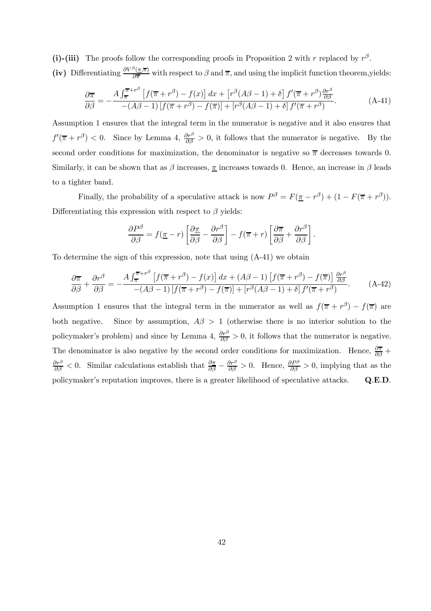(i)-(iii) The proofs follow the corresponding proofs in Proposition 2 with r replaced by  $r^{\beta}$ . (iv) Differentiating  $\frac{\partial V^{\beta}(\pi,\overline{\pi})}{\partial \overline{\pi}}$  with respect to  $\beta$  and  $\overline{\pi}$ , and using the implicit function theorem, yields:

$$
\frac{\partial \overline{\pi}}{\partial \beta} = -\frac{A \int_{\overline{\pi}}^{\overline{\pi}+r^{\beta}} \left[ f(\overline{\pi}+r^{\beta}) - f(x) \right] dx + \left[ r^{\beta} (A\beta - 1) + \delta \right] f'(\overline{\pi}+r^{\beta}) \frac{\partial r^{\beta}}{\partial \beta}}{- (A\beta - 1) \left[ f(\overline{\pi}+r^{\beta}) - f(\overline{\pi}) \right] + \left[ r^{\beta} (A\beta - 1) + \delta \right] f'(\overline{\pi}+r^{\beta})}.
$$
\n(A-41)

Assumption 1 ensures that the integral term in the numerator is negative and it also ensures that  $f'(\overline{\pi} + r^{\beta}) < 0$ . Since by Lemma 4,  $\frac{\partial r^{\beta}}{\partial \beta} > 0$ , it follows that the numerator is negative. By the second order conditions for maximization, the denominator is negative so  $\bar{\pi}$  decreases towards 0. Similarly, it can be shown that as  $\beta$  increases,  $\pi$  increases towards 0. Hence, an increase in  $\beta$  leads to a tighter band.

Finally, the probability of a speculative attack is now  $P^{\beta} = F(\underline{\pi} - r^{\beta}) + (1 - F(\overline{\pi} + r^{\beta}))$ . Differentiating this expression with respect to  $\beta$  yields:

$$
\frac{\partial P^{\beta}}{\partial \beta} = f(\underline{\pi} - r) \left[ \frac{\partial \underline{\pi}}{\partial \beta} - \frac{\partial r^{\beta}}{\partial \beta} \right] - f(\overline{\pi} + r) \left[ \frac{\partial \overline{\pi}}{\partial \beta} + \frac{\partial r^{\beta}}{\partial \beta} \right].
$$

To determine the sign of this expression, note that using (A-41) we obtain

$$
\frac{\partial \overline{\pi}}{\partial \beta} + \frac{\partial r^{\beta}}{\partial \beta} = -\frac{A \int_{\overline{\pi}}^{\overline{\pi} + r^{\beta}} \left[ f(\overline{\pi} + r^{\beta}) - f(x) \right] dx + (A\beta - 1) \left[ f(\overline{\pi} + r^{\beta}) - f(\overline{\pi}) \right] \frac{\partial r^{\beta}}{\partial \beta}}{-(A\beta - 1) \left[ f(\overline{\pi} + r^{\beta}) - f(\overline{\pi}) \right] + \left[ r^{\beta} (A\beta - 1) + \delta \right] f'(\overline{\pi} + r^{\beta})}.
$$
 (A-42)

Assumption 1 ensures that the integral term in the numerator as well as  $f(\overline{\pi} + r^{\beta}) - f(\overline{\pi})$  are both negative. Since by assumption,  $A\beta > 1$  (otherwise there is no interior solution to the policymaker's problem) and since by Lemma 4,  $\frac{\partial r^{\beta}}{\partial \beta} > 0$ , it follows that the numerator is negative. The denominator is also negative by the second order conditions for maximization. Hence,  $\frac{\partial \overline{\pi}}{\partial \beta}$  +  $\frac{\partial r^{\beta}}{\partial \beta} < 0$ . Similar calculations establish that  $\frac{\partial \pi}{\partial \beta} - \frac{\partial r^{\beta}}{\partial \beta} > 0$ . Hence,  $\frac{\partial P^{\beta}}{\partial \beta} > 0$ , implying that as the policymaker's reputation improves, there is a greater likelihood of speculative attacks. Q.E.D.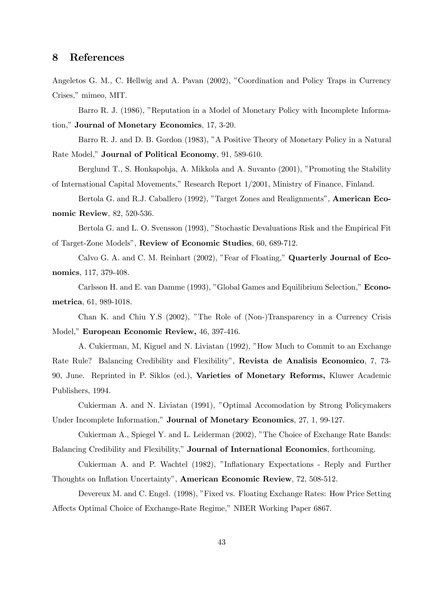# 8 References

Angeletos G. M., C. Hellwig and A. Pavan (2002), "Coordination and Policy Traps in Currency Crises," mimeo, MIT.

Barro R. J. (1986), "Reputation in a Model of Monetary Policy with Incomplete Information," Journal of Monetary Economics, 17, 3-20.

Barro R. J. and D. B. Gordon (1983), "A Positive Theory of Monetary Policy in a Natural Rate Model," Journal of Political Economy, 91, 589-610.

Berglund T., S. Honkapohja, A. Mikkola and A. Suvanto (2001), "Promoting the Stability of International Capital Movements," Research Report 1/2001, Ministry of Finance, Finland.

Bertola G. and R.J. Caballero (1992), "Target Zones and Realignments", American Economic Review, 82, 520-536.

Bertola G. and L. O. Svensson (1993), "Stochastic Devaluations Risk and the Empirical Fit of Target-Zone Models", Review of Economic Studies, 60, 689-712.

Calvo G. A. and C. M. Reinhart (2002), "Fear of Floating," Quarterly Journal of Economics, 117, 379-408.

Carlsson H. and E. van Damme (1993), "Global Games and Equilibrium Selection," Econometrica, 61, 989-1018.

Chan K. and Chiu Y.S (2002), "The Role of (Non-)Transparency in a Currency Crisis Model," European Economic Review, 46, 397-416.

A. Cukierman, M, Kiguel and N. Liviatan (1992), "How Much to Commit to an Exchange Rate Rule? Balancing Credibility and Flexibility", Revista de Analisis Economico, 7, 73- 90, June. Reprinted in P. Siklos (ed.), Varieties of Monetary Reforms, Kluwer Academic Publishers, 1994.

Cukierman A. and N. Liviatan (1991), "Optimal Accomodation by Strong Policymakers Under Incomplete Information," Journal of Monetary Economics, 27, 1, 99-127.

Cukierman A., Spiegel Y. and L. Leiderman (2002), "The Choice of Exchange Rate Bands: Balancing Credibility and Flexibility," Journal of International Economics, forthcoming.

Cukierman A. and P. Wachtel (1982), "Inflationary Expectations - Reply and Further Thoughts on Inflation Uncertainty", American Economic Review, 72, 508-512.

Devereux M. and C. Engel. (1998), "Fixed vs. Floating Exchange Rates: How Price Setting Affects Optimal Choice of Exchange-Rate Regime," NBER Working Paper 6867.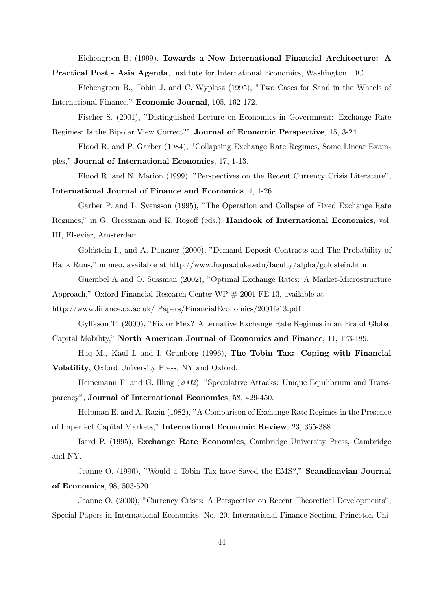Eichengreen B. (1999), Towards a New International Financial Architecture: A

Practical Post - Asia Agenda, Institute for International Economics, Washington, DC.

Eichengreen B., Tobin J. and C. Wyplosz (1995), "Two Cases for Sand in the Wheels of International Finance," Economic Journal, 105, 162-172.

Fischer S. (2001), "Distinguished Lecture on Economics in Government: Exchange Rate Regimes: Is the Bipolar View Correct?" Journal of Economic Perspective, 15, 3-24.

Flood R. and P. Garber (1984), "Collapsing Exchange Rate Regimes, Some Linear Examples," Journal of International Economics, 17, 1-13.

Flood R. and N. Marion (1999), "Perspectives on the Recent Currency Crisis Literature", International Journal of Finance and Economics, 4, 1-26.

Garber P. and L. Svensson (1995), "The Operation and Collapse of Fixed Exchange Rate

Regimes," in G. Grossman and K. Rogoff (eds.), Handook of International Economics, vol. III, Elsevier, Amsterdam.

Goldstein I., and A. Pauzner (2000), "Demand Deposit Contracts and The Probability of Bank Runs," mimeo, available at http://www.fuqua.duke.edu/faculty/alpha/goldstein.htm

Guembel A and O. Sussman (2002), "Optimal Exchange Rates: A Market-Microstructure

Approach," Oxford Financial Research Center WP # 2001-FE-13, available at

http://www.finance.ox.ac.uk/ Papers/FinancialEconomics/2001fe13.pdf

Gylfason T. (2000), "Fix or Flex? Alternative Exchange Rate Regimes in an Era of Global

Capital Mobility," North American Journal of Economics and Finance, 11, 173-189.

Haq M., Kaul I. and I. Grunberg (1996), The Tobin Tax: Coping with Financial Volatility, Oxford University Press, NY and Oxford.

Heinemann F. and G. Illing (2002), "Speculative Attacks: Unique Equilibrium and Transparency", Journal of International Economics, 58, 429-450.

Helpman E. and A. Razin (1982), "A Comparison of Exchange Rate Regimes in the Presence of Imperfect Capital Markets," International Economic Review, 23, 365-388.

Isard P. (1995), Exchange Rate Economics, Cambridge University Press, Cambridge and NY.

Jeanne O. (1996), "Would a Tobin Tax have Saved the EMS?," Scandinavian Journal of Economics, 98, 503-520.

Jeanne O. (2000), "Currency Crises: A Perspective on Recent Theoretical Developments", Special Papers in International Economics, No. 20, International Finance Section, Princeton Uni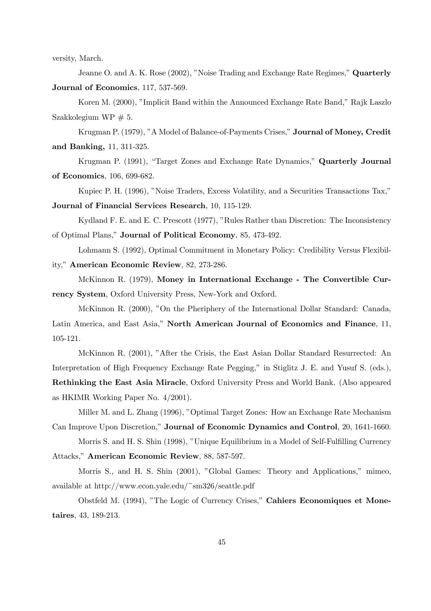versity, March.

Jeanne O. and A. K. Rose (2002), "Noise Trading and Exchange Rate Regimes," Quarterly Journal of Economics, 117, 537-569.

Koren M. (2000), "Implicit Band within the Announced Exchange Rate Band," Rajk Laszlo Szakkolegium WP  $\# 5$ .

Krugman P. (1979), "A Model of Balance-of-Payments Crises," Journal of Money, Credit and Banking, 11, 311-325.

Krugman P. (1991), "Target Zones and Exchange Rate Dynamics," Quarterly Journal of Economics, 106, 699-682.

Kupiec P. H. (1996), "Noise Traders, Excess Volatility, and a Securities Transactions Tax,"

Journal of Financial Services Research, 10, 115-129.

Kydland F. E. and E. C. Prescott (1977), "Rules Rather than Discretion: The Inconsistency of Optimal Plans," Journal of Political Economy, 85, 473-492.

Lohmann S. (1992), Optimal Commitment in Monetary Policy: Credibility Versus Flexibility," American Economic Review, 82, 273-286.

McKinnon R. (1979), Money in International Exchange - The Convertible Currency System, Oxford University Press, New-York and Oxford.

McKinnon R. (2000), "On the Pheriphery of the International Dollar Standard: Canada, Latin America, and East Asia," North American Journal of Economics and Finance, 11, 105-121.

McKinnon R. (2001), "After the Crisis, the East Asian Dollar Standard Resurrected: An Interpretation of High Frequency Exchange Rate Pegging," in Stiglitz J. E. and Yusuf S. (eds.), Rethinking the East Asia Miracle, Oxford University Press and World Bank. (Also appeared as HKIMR Working Paper No. 4/2001).

Miller M. and L. Zhang (1996), "Optimal Target Zones: How an Exchange Rate Mechanism Can Improve Upon Discretion," Journal of Economic Dynamics and Control, 20, 1641-1660.

Morris S. and H. S. Shin (1998), "Unique Equilibrium in a Model of Self-Fulfilling Currency Attacks," American Economic Review, 88, 587-597.

Morris S., and H. S. Shin (2001), "Global Games: Theory and Applications," mimeo, available at http://www.econ.yale.edu/~sm326/seattle.pdf

Obstfeld M. (1994), "The Logic of Currency Crises," Cahiers Economiques et Monetaires, 43, 189-213.